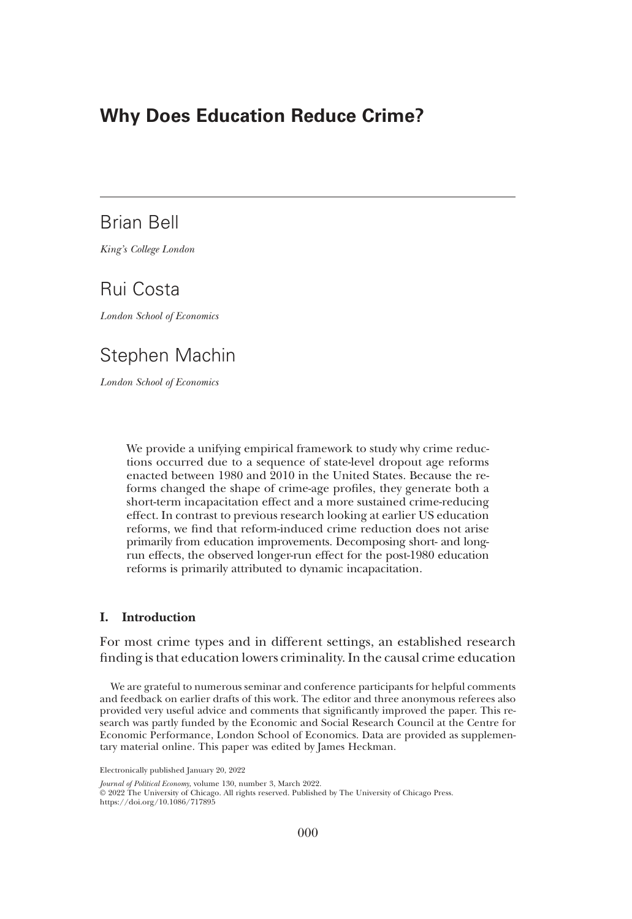## Why Does Education Reduce Crime?

## Brian Bell

*King*'*s College London*

# Rui Costa

*London School of Economics*

# Stephen Machin

*London School of Economics*

We provide a unifying empirical framework to study why crime reductions occurred due to a sequence of state-level dropout age reforms enacted between 1980 and 2010 in the United States. Because the reforms changed the shape of crime-age profiles, they generate both a short-term incapacitation effect and a more sustained crime-reducing effect. In contrast to previous research looking at earlier US education reforms, we find that reform-induced crime reduction does not arise primarily from education improvements. Decomposing short- and longrun effects, the observed longer-run effect for the post-1980 education reforms is primarily attributed to dynamic incapacitation.

## I. Introduction

For most crime types and in different settings, an established research finding is that education lowers criminality. In the causal crime education

We are grateful to numerous seminar and conference participants for helpful comments and feedback on earlier drafts of this work. The editor and three anonymous referees also provided very useful advice and comments that significantly improved the paper. This research was partly funded by the Economic and Social Research Council at the Centre for Economic Performance, London School of Economics. Data are provided as supplementary material online. This paper was edited by James Heckman.

Electronically published January 20, 2022

*Journal of Political Economy*, volume 130, number 3, March 2022.

© 2022 The University of Chicago. All rights reserved. Published by The University of Chicago Press. https://doi.org/10.1086/717895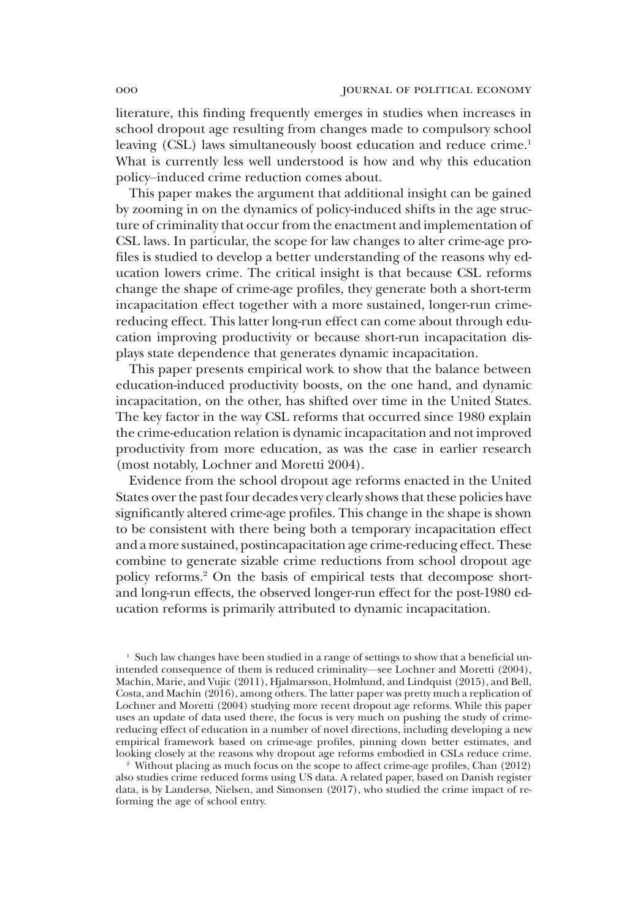literature, this finding frequently emerges in studies when increases in school dropout age resulting from changes made to compulsory school leaving (CSL) laws simultaneously boost education and reduce crime.<sup>1</sup> What is currently less well understood is how and why this education policy–induced crime reduction comes about.

This paper makes the argument that additional insight can be gained by zooming in on the dynamics of policy-induced shifts in the age structure of criminality that occur from the enactment and implementation of CSL laws. In particular, the scope for law changes to alter crime-age profiles is studied to develop a better understanding of the reasons why education lowers crime. The critical insight is that because CSL reforms change the shape of crime-age profiles, they generate both a short-term incapacitation effect together with a more sustained, longer-run crimereducing effect. This latter long-run effect can come about through education improving productivity or because short-run incapacitation displays state dependence that generates dynamic incapacitation.

This paper presents empirical work to show that the balance between education-induced productivity boosts, on the one hand, and dynamic incapacitation, on the other, has shifted over time in the United States. The key factor in the way CSL reforms that occurred since 1980 explain the crime-education relation is dynamic incapacitation and not improved productivity from more education, as was the case in earlier research (most notably, Lochner and Moretti 2004).

Evidence from the school dropout age reforms enacted in the United States over the past four decades very clearly shows that these policies have significantly altered crime-age profiles. This change in the shape is shown to be consistent with there being both a temporary incapacitation effect and a more sustained, postincapacitation age crime-reducing effect. These combine to generate sizable crime reductions from school dropout age policy reforms.<sup>2</sup> On the basis of empirical tests that decompose shortand long-run effects, the observed longer-run effect for the post-1980 education reforms is primarily attributed to dynamic incapacitation.

 $<sup>1</sup>$  Such law changes have been studied in a range of settings to show that a beneficial un-</sup> intended consequence of them is reduced criminality—see Lochner and Moretti (2004), Machin, Marie, and Vujic (2011), Hjalmarsson, Holmlund, and Lindquist (2015), and Bell, Costa, and Machin (2016), among others. The latter paper was pretty much a replication of Lochner and Moretti (2004) studying more recent dropout age reforms. While this paper uses an update of data used there, the focus is very much on pushing the study of crimereducing effect of education in a number of novel directions, including developing a new empirical framework based on crime-age profiles, pinning down better estimates, and looking closely at the reasons why dropout age reforms embodied in CSLs reduce crime.

<sup>2</sup> Without placing as much focus on the scope to affect crime-age profiles, Chan (2012) also studies crime reduced forms using US data. A related paper, based on Danish register data, is by Landersø, Nielsen, and Simonsen (2017), who studied the crime impact of reforming the age of school entry.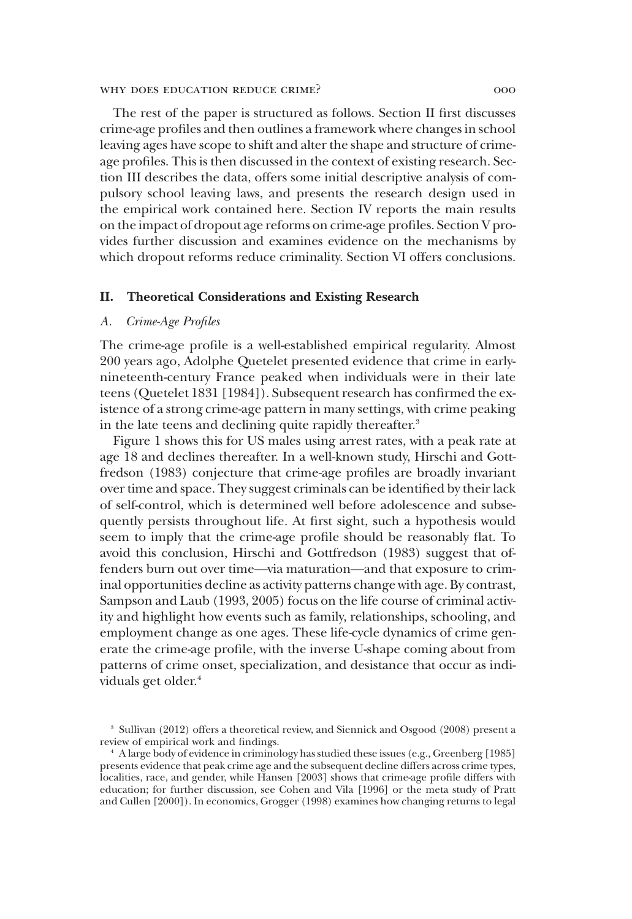The rest of the paper is structured as follows. Section II first discusses crime-age profiles and then outlines a framework where changes in school leaving ages have scope to shift and alter the shape and structure of crimeage profiles. This is then discussed in the context of existing research. Section III describes the data, offers some initial descriptive analysis of compulsory school leaving laws, and presents the research design used in the empirical work contained here. Section IV reports the main results on the impact of dropout age reforms on crime-age profiles. Section V provides further discussion and examines evidence on the mechanisms by which dropout reforms reduce criminality. Section VI offers conclusions.

### II. Theoretical Considerations and Existing Research

## *A. Crime-Age Profiles*

The crime-age profile is a well-established empirical regularity. Almost 200 years ago, Adolphe Quetelet presented evidence that crime in earlynineteenth-century France peaked when individuals were in their late teens (Quetelet 1831 [1984]). Subsequent research has confirmed the existence of a strong crime-age pattern in many settings, with crime peaking in the late teens and declining quite rapidly thereafter.<sup>3</sup>

Figure 1 shows this for US males using arrest rates, with a peak rate at age 18 and declines thereafter. In a well-known study, Hirschi and Gottfredson (1983) conjecture that crime-age profiles are broadly invariant over time and space. They suggest criminals can be identified by their lack of self-control, which is determined well before adolescence and subsequently persists throughout life. At first sight, such a hypothesis would seem to imply that the crime-age profile should be reasonably flat. To avoid this conclusion, Hirschi and Gottfredson (1983) suggest that offenders burn out over time—via maturation—and that exposure to criminal opportunities decline as activity patterns change with age. By contrast, Sampson and Laub (1993, 2005) focus on the life course of criminal activity and highlight how events such as family, relationships, schooling, and employment change as one ages. These life-cycle dynamics of crime generate the crime-age profile, with the inverse U-shape coming about from patterns of crime onset, specialization, and desistance that occur as individuals get older.<sup>4</sup>

<sup>3</sup> Sullivan (2012) offers a theoretical review, and Siennick and Osgood (2008) present a review of empirical work and findings.

<sup>4</sup> A large body of evidence in criminology has studied these issues (e.g., Greenberg [1985] presents evidence that peak crime age and the subsequent decline differs across crime types, localities, race, and gender, while Hansen [2003] shows that crime-age profile differs with education; for further discussion, see Cohen and Vila [1996] or the meta study of Pratt and Cullen [2000]). In economics, Grogger (1998) examines how changing returns to legal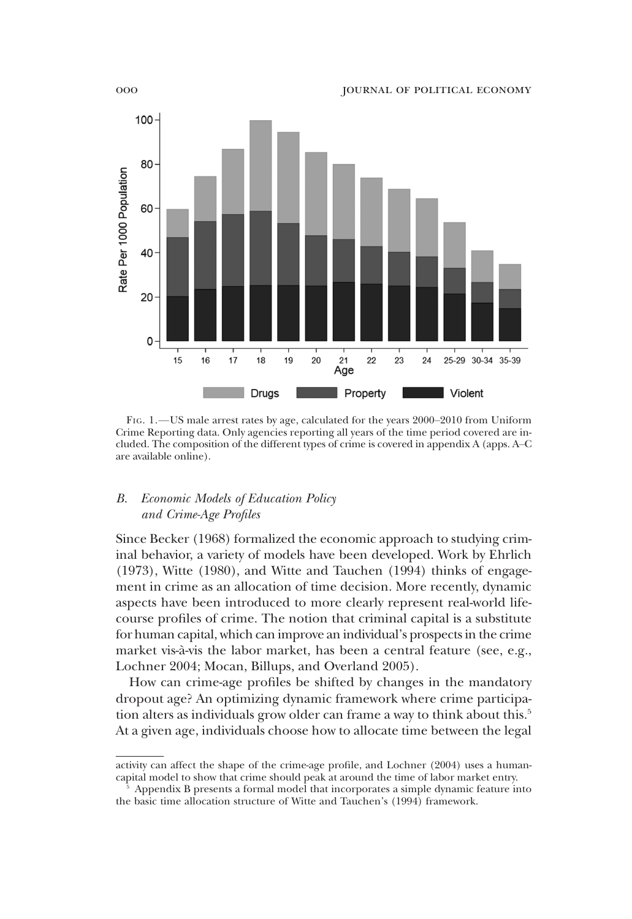

FIG. 1.—US male arrest rates by age, calculated for the years 2000–2010 from Uniform Crime Reporting data. Only agencies reporting all years of the time period covered are included. The composition of the different types of crime is covered in appendix A (apps. A–C are available online).

## *B. Economic Models of Education Policy and Crime-Age Profiles*

Since Becker (1968) formalized the economic approach to studying criminal behavior, a variety of models have been developed. Work by Ehrlich (1973), Witte (1980), and Witte and Tauchen (1994) thinks of engagement in crime as an allocation of time decision. More recently, dynamic aspects have been introduced to more clearly represent real-world lifecourse profiles of crime. The notion that criminal capital is a substitute for human capital, which can improve an individual's prospects in the crime market vis-à-vis the labor market, has been a central feature (see, e.g., Lochner 2004; Mocan, Billups, and Overland 2005).

How can crime-age profiles be shifted by changes in the mandatory dropout age? An optimizing dynamic framework where crime participation alters as individuals grow older can frame a way to think about this.<sup>5</sup> At a given age, individuals choose how to allocate time between the legal

activity can affect the shape of the crime-age profile, and Lochner (2004) uses a humancapital model to show that crime should peak at around the time of labor market entry.

<sup>5</sup> Appendix B presents a formal model that incorporates a simple dynamic feature into the basic time allocation structure of Witte and Tauchen's (1994) framework.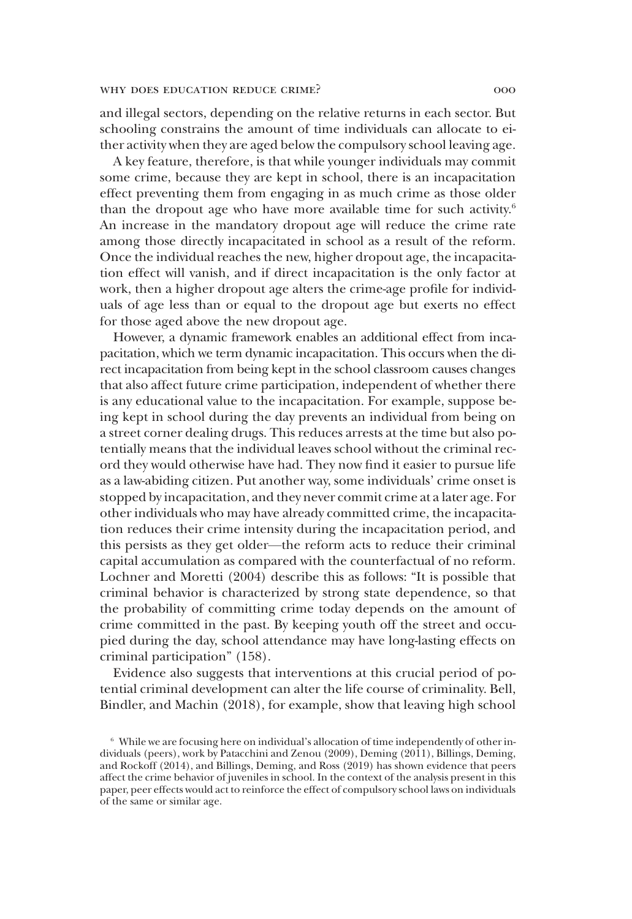and illegal sectors, depending on the relative returns in each sector. But schooling constrains the amount of time individuals can allocate to either activity when they are aged below the compulsory school leaving age.

A key feature, therefore, is that while younger individuals may commit some crime, because they are kept in school, there is an incapacitation effect preventing them from engaging in as much crime as those older than the dropout age who have more available time for such activity.<sup>6</sup> An increase in the mandatory dropout age will reduce the crime rate among those directly incapacitated in school as a result of the reform. Once the individual reaches the new, higher dropout age, the incapacitation effect will vanish, and if direct incapacitation is the only factor at work, then a higher dropout age alters the crime-age profile for individuals of age less than or equal to the dropout age but exerts no effect for those aged above the new dropout age.

However, a dynamic framework enables an additional effect from incapacitation, which we term dynamic incapacitation. This occurs when the direct incapacitation from being kept in the school classroom causes changes that also affect future crime participation, independent of whether there is any educational value to the incapacitation. For example, suppose being kept in school during the day prevents an individual from being on a street corner dealing drugs. This reduces arrests at the time but also potentially means that the individual leaves school without the criminal record they would otherwise have had. They now find it easier to pursue life as a law-abiding citizen. Put another way, some individuals' crime onset is stopped by incapacitation, and they never commit crime at a later age. For other individuals who may have already committed crime, the incapacitation reduces their crime intensity during the incapacitation period, and this persists as they get older—the reform acts to reduce their criminal capital accumulation as compared with the counterfactual of no reform. Lochner and Moretti (2004) describe this as follows: "It is possible that criminal behavior is characterized by strong state dependence, so that the probability of committing crime today depends on the amount of crime committed in the past. By keeping youth off the street and occupied during the day, school attendance may have long-lasting effects on criminal participation" (158).

Evidence also suggests that interventions at this crucial period of potential criminal development can alter the life course of criminality. Bell, Bindler, and Machin (2018), for example, show that leaving high school

<sup>6</sup> While we are focusing here on individual's allocation of time independently of other individuals (peers), work by Patacchini and Zenou (2009), Deming (2011), Billings, Deming, and Rockoff (2014), and Billings, Deming, and Ross (2019) has shown evidence that peers affect the crime behavior of juveniles in school. In the context of the analysis present in this paper, peer effects would act to reinforce the effect of compulsory school laws on individuals of the same or similar age.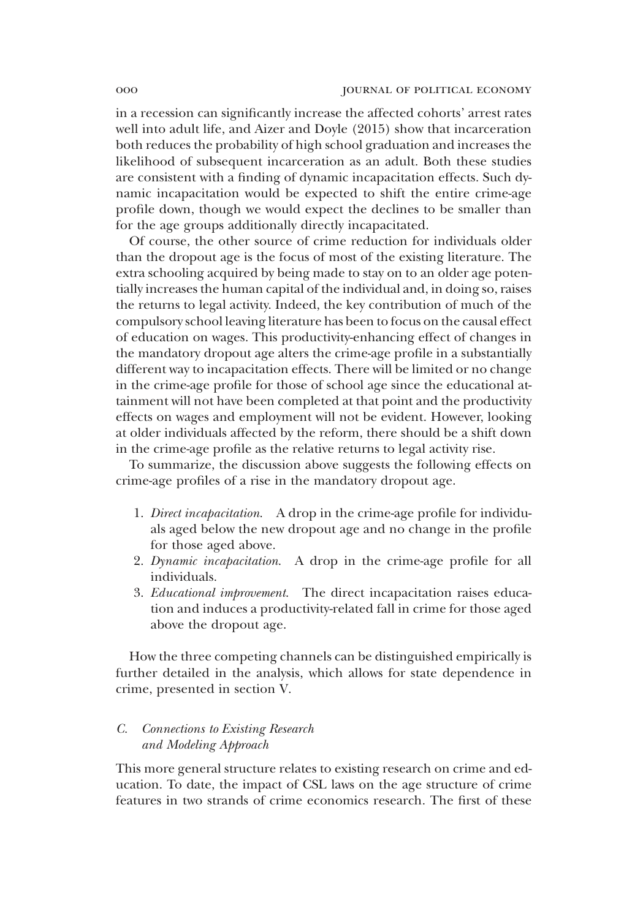in a recession can significantly increase the affected cohorts' arrest rates well into adult life, and Aizer and Doyle (2015) show that incarceration both reduces the probability of high school graduation and increases the likelihood of subsequent incarceration as an adult. Both these studies are consistent with a finding of dynamic incapacitation effects. Such dynamic incapacitation would be expected to shift the entire crime-age profile down, though we would expect the declines to be smaller than for the age groups additionally directly incapacitated.

Of course, the other source of crime reduction for individuals older than the dropout age is the focus of most of the existing literature. The extra schooling acquired by being made to stay on to an older age potentially increases the human capital of the individual and, in doing so, raises the returns to legal activity. Indeed, the key contribution of much of the compulsory school leaving literature has been to focus on the causal effect of education on wages. This productivity-enhancing effect of changes in the mandatory dropout age alters the crime-age profile in a substantially different way to incapacitation effects. There will be limited or no change in the crime-age profile for those of school age since the educational attainment will not have been completed at that point and the productivity effects on wages and employment will not be evident. However, looking at older individuals affected by the reform, there should be a shift down in the crime-age profile as the relative returns to legal activity rise.

To summarize, the discussion above suggests the following effects on crime-age profiles of a rise in the mandatory dropout age.

- 1. *Direct incapacitation*. A drop in the crime-age profile for individuals aged below the new dropout age and no change in the profile for those aged above.
- 2. *Dynamic incapacitation*. A drop in the crime-age profile for all individuals.
- 3. *Educational improvement*. The direct incapacitation raises education and induces a productivity-related fall in crime for those aged above the dropout age.

How the three competing channels can be distinguished empirically is further detailed in the analysis, which allows for state dependence in crime, presented in section V.

## *C. Connections to Existing Research and Modeling Approach*

This more general structure relates to existing research on crime and education. To date, the impact of CSL laws on the age structure of crime features in two strands of crime economics research. The first of these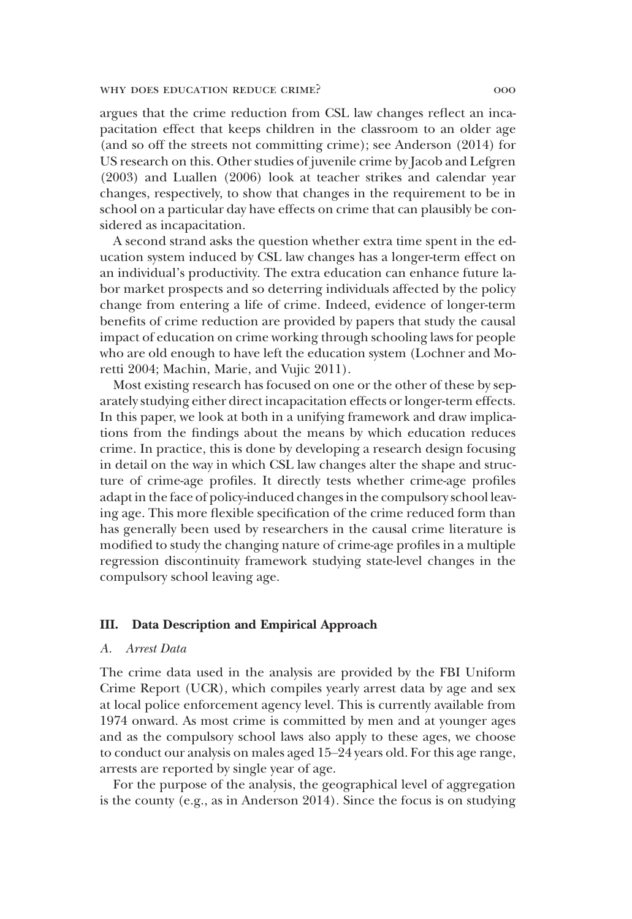argues that the crime reduction from CSL law changes reflect an incapacitation effect that keeps children in the classroom to an older age (and so off the streets not committing crime); see Anderson (2014) for US research on this. Other studies of juvenile crime by Jacob and Lefgren (2003) and Luallen (2006) look at teacher strikes and calendar year changes, respectively, to show that changes in the requirement to be in school on a particular day have effects on crime that can plausibly be considered as incapacitation.

A second strand asks the question whether extra time spent in the education system induced by CSL law changes has a longer-term effect on an individual's productivity. The extra education can enhance future labor market prospects and so deterring individuals affected by the policy change from entering a life of crime. Indeed, evidence of longer-term benefits of crime reduction are provided by papers that study the causal impact of education on crime working through schooling laws for people who are old enough to have left the education system (Lochner and Moretti 2004; Machin, Marie, and Vujic 2011).

Most existing research has focused on one or the other of these by separately studying either direct incapacitation effects or longer-term effects. In this paper, we look at both in a unifying framework and draw implications from the findings about the means by which education reduces crime. In practice, this is done by developing a research design focusing in detail on the way in which CSL law changes alter the shape and structure of crime-age profiles. It directly tests whether crime-age profiles adapt in the face of policy-induced changes in the compulsory school leaving age. This more flexible specification of the crime reduced form than has generally been used by researchers in the causal crime literature is modified to study the changing nature of crime-age profiles in a multiple regression discontinuity framework studying state-level changes in the compulsory school leaving age.

#### III. Data Description and Empirical Approach

#### *A. Arrest Data*

The crime data used in the analysis are provided by the FBI Uniform Crime Report (UCR), which compiles yearly arrest data by age and sex at local police enforcement agency level. This is currently available from 1974 onward. As most crime is committed by men and at younger ages and as the compulsory school laws also apply to these ages, we choose to conduct our analysis on males aged 15–24 years old. For this age range, arrests are reported by single year of age.

For the purpose of the analysis, the geographical level of aggregation is the county (e.g., as in Anderson 2014). Since the focus is on studying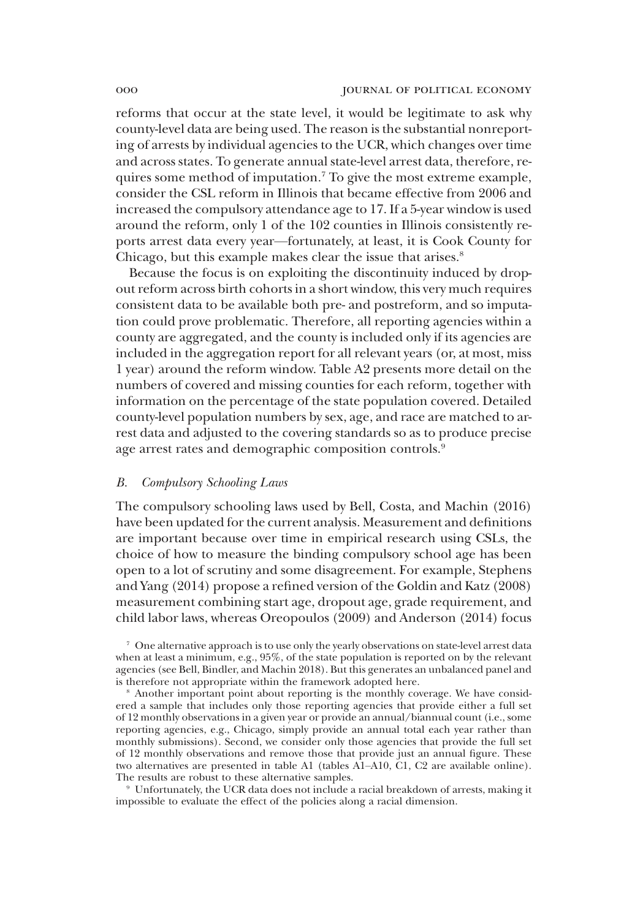reforms that occur at the state level, it would be legitimate to ask why county-level data are being used. The reason is the substantial nonreporting of arrests by individual agencies to the UCR, which changes over time and across states. To generate annual state-level arrest data, therefore, requires some method of imputation.<sup>7</sup> To give the most extreme example, consider the CSL reform in Illinois that became effective from 2006 and increased the compulsory attendance age to 17. If a 5-year window is used around the reform, only 1 of the 102 counties in Illinois consistently reports arrest data every year—fortunately, at least, it is Cook County for Chicago, but this example makes clear the issue that arises.<sup>8</sup>

Because the focus is on exploiting the discontinuity induced by dropout reform across birth cohorts in a short window, this very much requires consistent data to be available both pre- and postreform, and so imputation could prove problematic. Therefore, all reporting agencies within a county are aggregated, and the county is included only if its agencies are included in the aggregation report for all relevant years (or, at most, miss 1 year) around the reform window. Table A2 presents more detail on the numbers of covered and missing counties for each reform, together with information on the percentage of the state population covered. Detailed county-level population numbers by sex, age, and race are matched to arrest data and adjusted to the covering standards so as to produce precise age arrest rates and demographic composition controls.<sup>9</sup>

#### *B. Compulsory Schooling Laws*

The compulsory schooling laws used by Bell, Costa, and Machin (2016) have been updated for the current analysis. Measurement and definitions are important because over time in empirical research using CSLs, the choice of how to measure the binding compulsory school age has been open to a lot of scrutiny and some disagreement. For example, Stephens and Yang (2014) propose a refined version of the Goldin and Katz (2008) measurement combining start age, dropout age, grade requirement, and child labor laws, whereas Oreopoulos (2009) and Anderson (2014) focus

<sup>7</sup> One alternative approach is to use only the yearly observations on state-level arrest data when at least a minimum, e.g., 95%, of the state population is reported on by the relevant agencies (see Bell, Bindler, and Machin 2018). But this generates an unbalanced panel and is therefore not appropriate within the framework adopted here.

<sup>8</sup> Another important point about reporting is the monthly coverage. We have considered a sample that includes only those reporting agencies that provide either a full set of 12 monthly observations in a given year or provide an annual/biannual count (i.e., some reporting agencies, e.g., Chicago, simply provide an annual total each year rather than monthly submissions). Second, we consider only those agencies that provide the full set of 12 monthly observations and remove those that provide just an annual figure. These two alternatives are presented in table A1 (tables A1–A10, C1, C2 are available online). The results are robust to these alternative samples.

<sup>9</sup> Unfortunately, the UCR data does not include a racial breakdown of arrests, making it impossible to evaluate the effect of the policies along a racial dimension.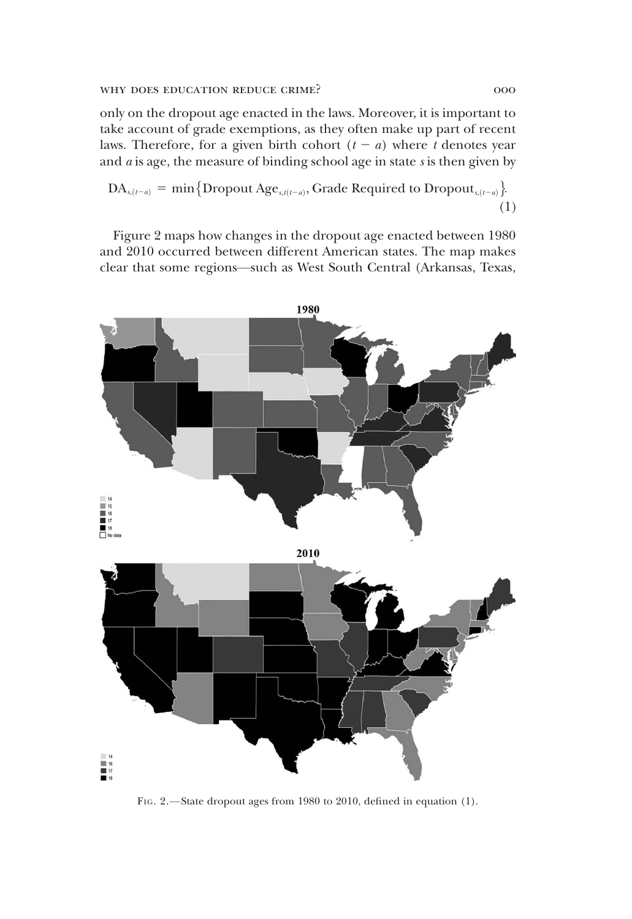only on the dropout age enacted in the laws. Moreover, it is important to take account of grade exemptions, as they often make up part of recent laws. Therefore, for a given birth cohort  $(t - a)$  where *t* denotes year and *a* is age, the measure of binding school age in state *s* is then given by

 $\text{DA}_{s,(t-a)} = \min \big\{ \text{Dropout Age}_{s,t(t-a)}, \text{Grade Required to Dropout}_{s,(t-a)} \big\}.$ (1)

Figure 2 maps how changes in the dropout age enacted between 1980 and 2010 occurred between different American states. The map makes clear that some regions—such as West South Central (Arkansas, Texas,



FIG. 2.—State dropout ages from 1980 to 2010, defined in equation (1).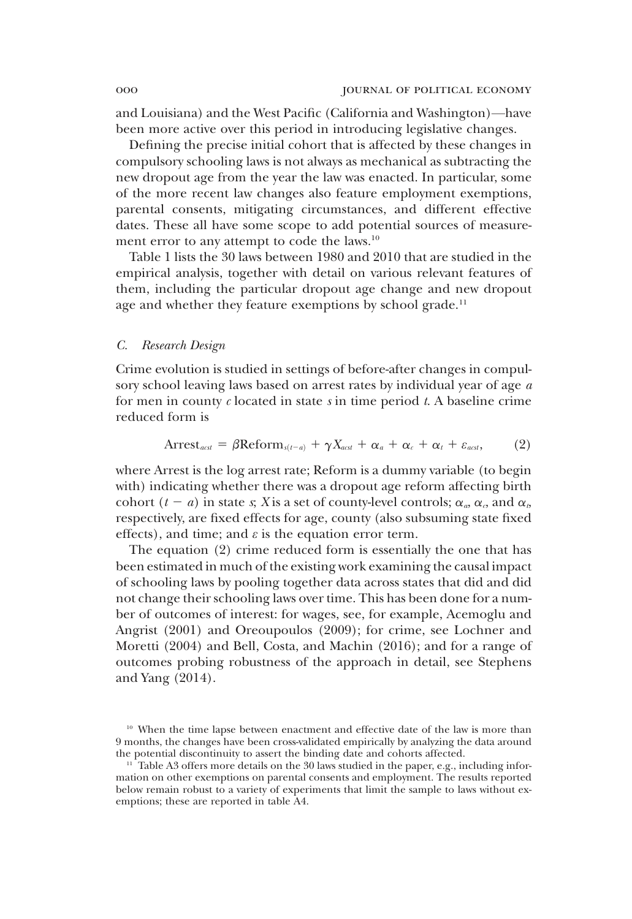and Louisiana) and the West Pacific (California and Washington)—have been more active over this period in introducing legislative changes.

Defining the precise initial cohort that is affected by these changes in compulsory schooling laws is not always as mechanical as subtracting the new dropout age from the year the law was enacted. In particular, some of the more recent law changes also feature employment exemptions, parental consents, mitigating circumstances, and different effective dates. These all have some scope to add potential sources of measurement error to any attempt to code the laws.<sup>10</sup>

Table 1 lists the 30 laws between 1980 and 2010 that are studied in the empirical analysis, together with detail on various relevant features of them, including the particular dropout age change and new dropout age and whether they feature exemptions by school grade.<sup>11</sup>

#### *C. Research Design*

Crime evolution is studied in settings of before-after changes in compulsory school leaving laws based on arrest rates by individual year of age *a* for men in county *c* located in state *s* in time period *t*. A baseline crime reduced form is

$$
Arrest_{\text{\}} = \beta \text{Reform}_{s(t-a)} + \gamma X_{\text{\}} + \alpha_a + \alpha_c + \alpha_t + \varepsilon_{\text{\}}},
$$
 (2)

where Arrest is the log arrest rate; Reform is a dummy variable (to begin with) indicating whether there was a dropout age reform affecting birth cohort  $(t - a)$  in state *s*; *X* is a set of county-level controls;  $\alpha_a$ ,  $\alpha_c$ , and  $\alpha_b$ respectively, are fixed effects for age, county (also subsuming state fixed effects), and time; and  $\varepsilon$  is the equation error term.

The equation (2) crime reduced form is essentially the one that has been estimated in much of the existing work examining the causal impact of schooling laws by pooling together data across states that did and did not change their schooling laws over time. This has been done for a number of outcomes of interest: for wages, see, for example, Acemoglu and Angrist (2001) and Oreoupoulos (2009); for crime, see Lochner and Moretti (2004) and Bell, Costa, and Machin (2016); and for a range of outcomes probing robustness of the approach in detail, see Stephens and Yang (2014).

<sup>&</sup>lt;sup>10</sup> When the time lapse between enactment and effective date of the law is more than 9 months, the changes have been cross-validated empirically by analyzing the data around the potential discontinuity to assert the binding date and cohorts affected.

 $11$  Table A3 offers more details on the 30 laws studied in the paper, e.g., including information on other exemptions on parental consents and employment. The results reported below remain robust to a variety of experiments that limit the sample to laws without exemptions; these are reported in table A4.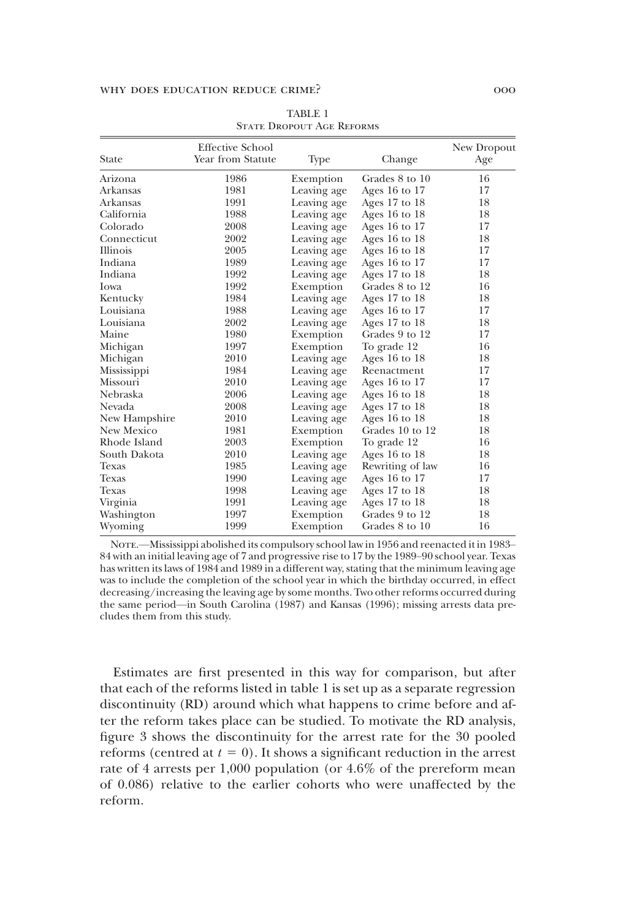|               | <b>Effective School</b> |             |                   | New Dropout |
|---------------|-------------------------|-------------|-------------------|-------------|
| State         | Year from Statute       | Type        | Change            | Age         |
| Arizona       | 1986                    | Exemption   | Grades 8 to 10    | 16          |
| Arkansas      | 1981                    | Leaving age | Ages 16 to $17$   | 17          |
| Arkansas      | 1991                    | Leaving age | Ages $17$ to $18$ | 18          |
| California    | 1988                    | Leaving age | Ages 16 to $18$   | 18          |
| Colorado      | 2008                    | Leaving age | Ages 16 to $17$   | 17          |
| Connecticut   | 2002                    | Leaving age | Ages 16 to $18$   | 18          |
| Illinois      | 2005                    | Leaving age | Ages 16 to $18$   | 17          |
| Indiana       | 1989                    | Leaving age | Ages 16 to $17$   | 17          |
| Indiana       | 1992                    | Leaving age | Ages 17 to 18     | 18          |
| <b>I</b> owa  | 1992                    | Exemption   | Grades 8 to 12    | 16          |
| Kentucky      | 1984                    | Leaving age | Ages $17$ to $18$ | 18          |
| Louisiana     | 1988                    | Leaving age | Ages 16 to $17$   | 17          |
| Louisiana     | 2002                    | Leaving age | Ages 17 to 18     | 18          |
| Maine         | 1980                    | Exemption   | Grades 9 to 12    | 17          |
| Michigan      | 1997                    | Exemption   | To grade 12       | 16          |
| Michigan      | 2010                    | Leaving age | Ages 16 to $18$   | 18          |
| Mississippi   | 1984                    | Leaving age | Reenactment       | 17          |
| Missouri      | 2010                    | Leaving age | Ages 16 to $17$   | 17          |
| Nebraska      | 2006                    | Leaving age | Ages 16 to 18     | 18          |
| Nevada        | 2008                    | Leaving age | Ages 17 to 18     | 18          |
| New Hampshire | 2010                    | Leaving age | Ages 16 to 18     | 18          |
| New Mexico    | 1981                    | Exemption   | Grades 10 to 12   | 18          |
| Rhode Island  | 2003                    | Exemption   | To grade 12       | 16          |
| South Dakota  | 2010                    | Leaving age | Ages 16 to $18$   | 18          |
| Texas         | 1985                    | Leaving age | Rewriting of law  | 16          |
| Texas         | 1990                    | Leaving age | Ages 16 to $17$   | 17          |
| Texas         | 1998                    | Leaving age | Ages $17$ to $18$ | 18          |
| Virginia      | 1991                    | Leaving age | Ages $17$ to $18$ | 18          |
| Washington    | 1997                    | Exemption   | Grades 9 to 12    | 18          |
| Wyoming       | 1999                    | Exemption   | Grades 8 to 10    | 16          |

TABLE 1 State Dropout Age Reforms

NOTE.—Mississippi abolished its compulsory school law in 1956 and reenacted it in 1983– 84 with an initial leaving age of 7 and progressive rise to 17 by the 1989–90 school year. Texas has written its laws of 1984 and 1989 in a different way, stating that the minimum leaving age was to include the completion of the school year in which the birthday occurred, in effect decreasing/increasing the leaving age by some months. Two other reforms occurred during the same period—in South Carolina (1987) and Kansas (1996); missing arrests data precludes them from this study.

Estimates are first presented in this way for comparison, but after that each of the reforms listed in table 1 is set up as a separate regression discontinuity (RD) around which what happens to crime before and after the reform takes place can be studied. To motivate the RD analysis, figure 3 shows the discontinuity for the arrest rate for the 30 pooled reforms (centred at  $t = 0$ ). It shows a significant reduction in the arrest rate of 4 arrests per 1,000 population (or 4.6% of the prereform mean of 0.086) relative to the earlier cohorts who were unaffected by the reform.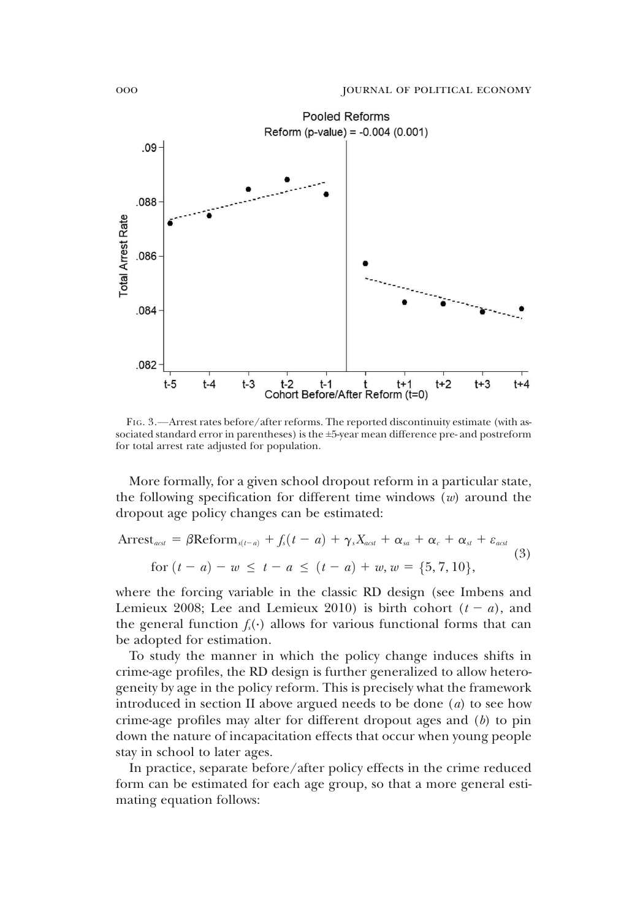

FIG. 3.—Arrest rates before/after reforms. The reported discontinuity estimate (with associated standard error in parentheses) is the  $\pm 5$ -year mean difference pre- and postreform for total arrest rate adjusted for population.

More formally, for a given school dropout reform in a particular state, the following specification for different time windows (*w*) around the dropout age policy changes can be estimated:

$$
\text{Arrest}_{\text{acst}} = \beta \text{Reform}_{s(t-a)} + f_s(t-a) + \gamma_s X_{\text{acst}} + \alpha_{\text{sa}} + \alpha_c + \alpha_{\text{st}} + \varepsilon_{\text{acst}}
$$
\n
$$
\text{for } (t-a) - w \leq t-a \leq (t-a) + w, w = \{5, 7, 10\},\tag{3}
$$

where the forcing variable in the classic RD design (see Imbens and Lemieux 2008; Lee and Lemieux 2010) is birth cohort  $(t - a)$ , and the general function  $f<sub>s</sub>(·)$  allows for various functional forms that can be adopted for estimation.

To study the manner in which the policy change induces shifts in crime-age profiles, the RD design is further generalized to allow heterogeneity by age in the policy reform. This is precisely what the framework introduced in section II above argued needs to be done (*a*) to see how crime-age profiles may alter for different dropout ages and (*b*) to pin down the nature of incapacitation effects that occur when young people stay in school to later ages.

In practice, separate before/after policy effects in the crime reduced form can be estimated for each age group, so that a more general estimating equation follows: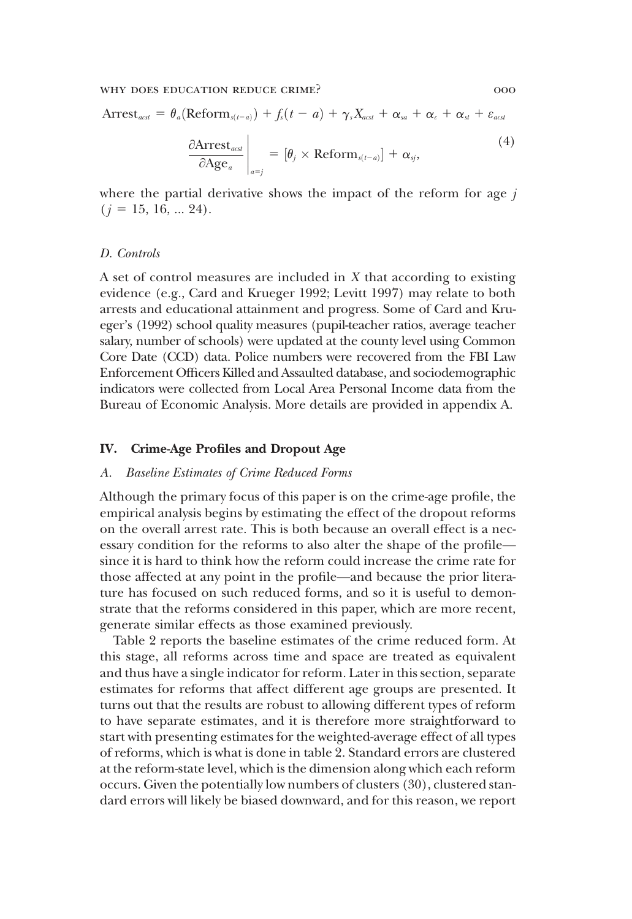$$
Arrest_{\text{acst}} = \theta_a (\text{Reform}_{s(t-a)}) + f_s(t-a) + \gamma_s X_{\text{acst}} + \alpha_{\text{sa}} + \alpha_c + \alpha_{\text{st}} + \varepsilon_{\text{acst}}
$$

$$
\frac{\partial \text{Arrest}_{\text{acst}}}{\partial \text{Age}_a} \bigg|_{a=j} = [\theta_j \times \text{Reform}_{s(t-a)}] + \alpha_{\text{sj}}, \tag{4}
$$

where the partial derivative shows the impact of the reform for age *j*  $(j = 15, 16, \ldots 24).$ 

#### *D. Controls*

A set of control measures are included in *X* that according to existing evidence (e.g., Card and Krueger 1992; Levitt 1997) may relate to both arrests and educational attainment and progress. Some of Card and Krueger's (1992) school quality measures (pupil-teacher ratios, average teacher salary, number of schools) were updated at the county level using Common Core Date (CCD) data. Police numbers were recovered from the FBI Law Enforcement Officers Killed and Assaulted database, and sociodemographic indicators were collected from Local Area Personal Income data from the Bureau of Economic Analysis. More details are provided in appendix A.

#### IV. Crime-Age Profiles and Dropout Age

#### *A. Baseline Estimates of Crime Reduced Forms*

Although the primary focus of this paper is on the crime-age profile, the empirical analysis begins by estimating the effect of the dropout reforms on the overall arrest rate. This is both because an overall effect is a necessary condition for the reforms to also alter the shape of the profile since it is hard to think how the reform could increase the crime rate for those affected at any point in the profile—and because the prior literature has focused on such reduced forms, and so it is useful to demonstrate that the reforms considered in this paper, which are more recent, generate similar effects as those examined previously.

Table 2 reports the baseline estimates of the crime reduced form. At this stage, all reforms across time and space are treated as equivalent and thus have a single indicator for reform. Later in this section, separate estimates for reforms that affect different age groups are presented. It turns out that the results are robust to allowing different types of reform to have separate estimates, and it is therefore more straightforward to start with presenting estimates for the weighted-average effect of all types of reforms, which is what is done in table 2. Standard errors are clustered at the reform-state level, which is the dimension along which each reform occurs. Given the potentially low numbers of clusters (30), clustered standard errors will likely be biased downward, and for this reason, we report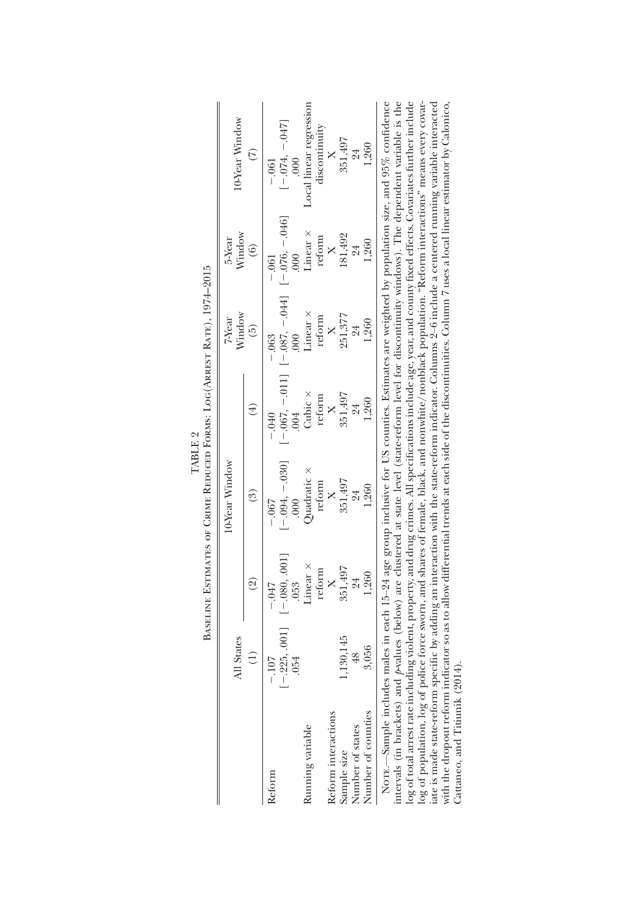|                                                        | All States             |                  | 10-Year Window      |                        | Window<br>7-Year                                         | Window<br>5-Year | 0-Year Window                   |
|--------------------------------------------------------|------------------------|------------------|---------------------|------------------------|----------------------------------------------------------|------------------|---------------------------------|
|                                                        |                        | ହି               | වි                  |                        | $\widetilde{5}$                                          | $\widehat{6}$    |                                 |
| eform                                                  | $-107$                 | $-0.47$          | $-0.067$            | $-040$                 | $-.063$                                                  | $-.061$          | $-0.061$                        |
|                                                        | $[-.225, .001]$<br>054 | $[-.080, .001]$  | $-.094, -.030]$     |                        | $[-0.067, -0.011]$ $[-0.087, -0.044]$ $[-0.076, -0.046]$ | 000              | $[-0.074, -0.047]$              |
| aunning variable                                       |                        | Linear ×<br>.053 | Quadratic ×<br>000. | Cubic $\times$<br>.004 | Linear ×                                                 | Linear ×         | Local linear regression<br>.000 |
|                                                        |                        | reform           | reform              | reform                 | reform                                                   | reform           | discontinuity                   |
|                                                        |                        |                  |                     | ×                      |                                                          |                  |                                 |
| Reform interactions<br>Sample size<br>Number of states | 130,145                | 351,497          | 351,497             | 351,497                | 251,377                                                  | 181,492          | 351,497                         |
|                                                        | $\frac{48}{5}$         | 24               | 24                  | 24                     | 24                                                       | 24               | 24                              |
| lumber of counties                                     | 3,056                  | 1,260            | 1.260               | 1,260                  | 1,260                                                    | 1,260            | 1,260                           |

| TABLE 2 | Estimates of Crime Reduced Forms: Loc $(A$ rrest Rate) |
|---------|--------------------------------------------------------|
|         |                                                        |
|         |                                                        |

 $\mathsf{L}$   $\mathsf{R}$ intervals (in brackets) and pvalues (below) are clustered at state level (state-reform level for discontinuity windows). The dependent variable is the log of total arrest rate including violent, property, and drug crimes. All specifications include age, year, and county fixed effects. Covariates further include<br>log of population, log of police force sworn, and shares of iate is made state-reform specific by adding an interaction with the state-reform indicator. Columns 2–6 include a centered running variable interacted<br>with the dropout reform indicator so as to allow differential trends a Note.—Sample includes males in each 15–24 age group inclusive for US counties. Estimates are weighted by population size, and 95% confidence intervals (in brackets) and *p*-values (below) are clustered at state level (state-reform level for discontinuity windows). The dependent variable is the log of total arrest rate including violent, property, and drug crimes. All specifications include age, year, and county fixed effects. Covariates further include log of population, log of police force sworn, and shares of female, black, and nonwhite/nonblack population. "Reform interactions" means every covariate is made state-reform specific by adding an interaction with the state-reform indicator. Columns 2–6 include a centered running variable interacted with the dropout reform indicator so as to allow differential trends at each side of the discontinuities. Column 7 uses a local linear estimator by Calonico, Cattaneo, and Titiunik (2014). Cattaneo, and Titiunik (2014).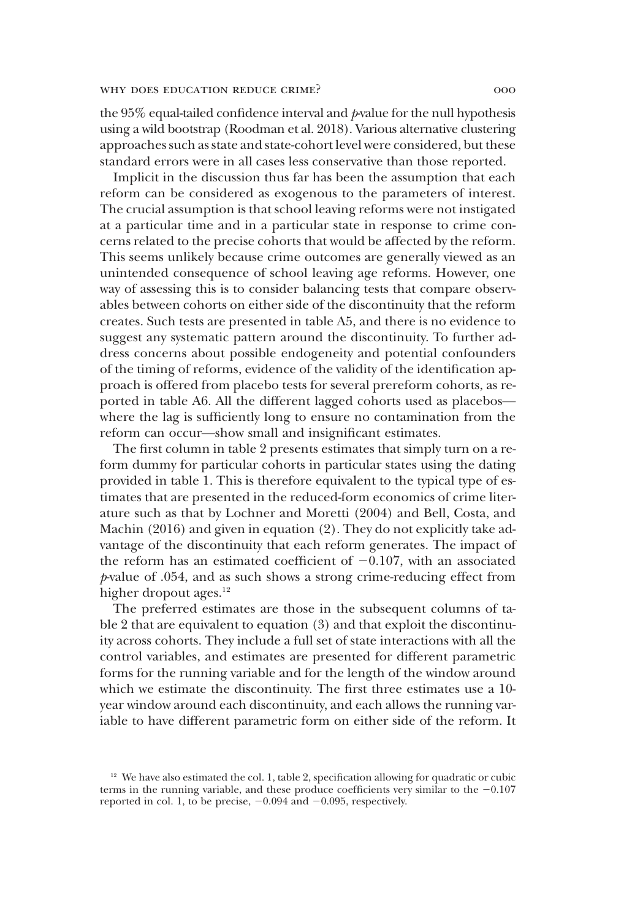the 95% equal-tailed confidence interval and *p*-value for the null hypothesis using a wild bootstrap (Roodman et al. 2018). Various alternative clustering approaches such as state and state-cohort level were considered, but these standard errors were in all cases less conservative than those reported.

Implicit in the discussion thus far has been the assumption that each reform can be considered as exogenous to the parameters of interest. The crucial assumption is that school leaving reforms were not instigated at a particular time and in a particular state in response to crime concerns related to the precise cohorts that would be affected by the reform. This seems unlikely because crime outcomes are generally viewed as an unintended consequence of school leaving age reforms. However, one way of assessing this is to consider balancing tests that compare observables between cohorts on either side of the discontinuity that the reform creates. Such tests are presented in table A5, and there is no evidence to suggest any systematic pattern around the discontinuity. To further address concerns about possible endogeneity and potential confounders of the timing of reforms, evidence of the validity of the identification approach is offered from placebo tests for several prereform cohorts, as reported in table A6. All the different lagged cohorts used as placebos where the lag is sufficiently long to ensure no contamination from the reform can occur—show small and insignificant estimates.

The first column in table 2 presents estimates that simply turn on a reform dummy for particular cohorts in particular states using the dating provided in table 1. This is therefore equivalent to the typical type of estimates that are presented in the reduced-form economics of crime literature such as that by Lochner and Moretti (2004) and Bell, Costa, and Machin (2016) and given in equation (2). They do not explicitly take advantage of the discontinuity that each reform generates. The impact of the reform has an estimated coefficient of  $-0.107$ , with an associated *p*-value of .054, and as such shows a strong crime-reducing effect from higher dropout ages. $12$ 

The preferred estimates are those in the subsequent columns of table 2 that are equivalent to equation (3) and that exploit the discontinuity across cohorts. They include a full set of state interactions with all the control variables, and estimates are presented for different parametric forms for the running variable and for the length of the window around which we estimate the discontinuity. The first three estimates use a 10 year window around each discontinuity, and each allows the running variable to have different parametric form on either side of the reform. It

<sup>&</sup>lt;sup>12</sup> We have also estimated the col. 1, table 2, specification allowing for quadratic or cubic terms in the running variable, and these produce coefficients very similar to the  $-0.107$ reported in col. 1, to be precise,  $-0.094$  and  $-0.095$ , respectively.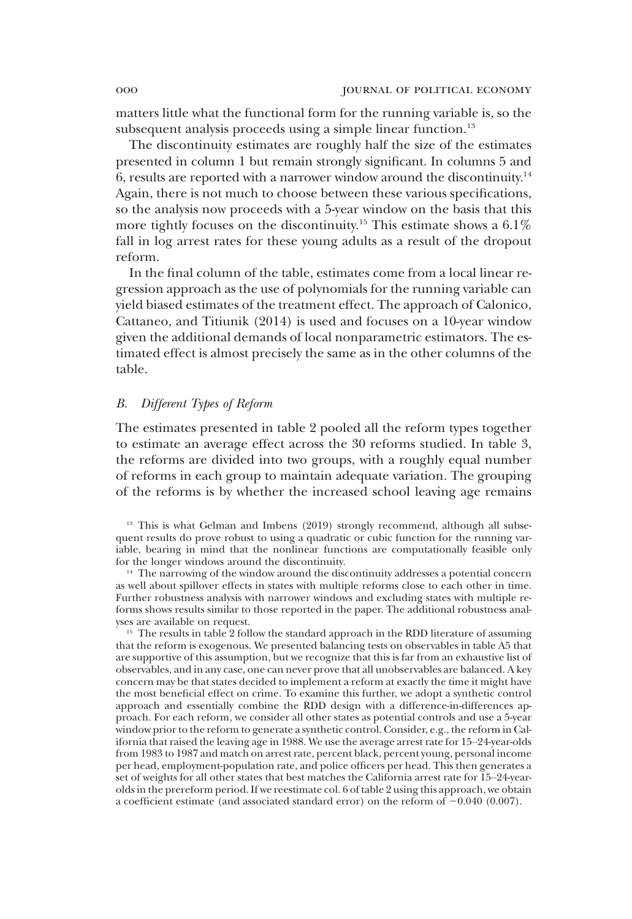matters little what the functional form for the running variable is, so the subsequent analysis proceeds using a simple linear function.<sup>13</sup>

The discontinuity estimates are roughly half the size of the estimates presented in column 1 but remain strongly significant. In columns 5 and 6, results are reported with a narrower window around the discontinuity.<sup>14</sup> Again, there is not much to choose between these various specifications, so the analysis now proceeds with a 5-year window on the basis that this more tightly focuses on the discontinuity.<sup>15</sup> This estimate shows a 6.1% fall in log arrest rates for these young adults as a result of the dropout reform.

In the final column of the table, estimates come from a local linear regression approach as the use of polynomials for the running variable can yield biased estimates of the treatment effect. The approach of Calonico, Cattaneo, and Titiunik (2014) is used and focuses on a 10-year window given the additional demands of local nonparametric estimators. The estimated effect is almost precisely the same as in the other columns of the table.

## *B. Different Types of Reform*

The estimates presented in table 2 pooled all the reform types together to estimate an average effect across the 30 reforms studied. In table 3, the reforms are divided into two groups, with a roughly equal number of reforms in each group to maintain adequate variation. The grouping of the reforms is by whether the increased school leaving age remains

<sup>13</sup> This is what Gelman and Imbens (2019) strongly recommend, although all subsequent results do prove robust to using a quadratic or cubic function for the running variable, bearing in mind that the nonlinear functions are computationally feasible only for the longer windows around the discontinuity.

<sup>14</sup> The narrowing of the window around the discontinuity addresses a potential concern as well about spillover effects in states with multiple reforms close to each other in time. Further robustness analysis with narrower windows and excluding states with multiple reforms shows results similar to those reported in the paper. The additional robustness analyses are available on request.

<sup>15</sup> The results in table 2 follow the standard approach in the RDD literature of assuming that the reform is exogenous. We presented balancing tests on observables in table A5 that are supportive of this assumption, but we recognize that this is far from an exhaustive list of observables, and in any case, one can never prove that all unobservables are balanced. A key concern may be that states decided to implement a reform at exactly the time it might have the most beneficial effect on crime. To examine this further, we adopt a synthetic control approach and essentially combine the RDD design with a difference-in-differences approach. For each reform, we consider all other states as potential controls and use a 5-year window prior to the reform to generate a synthetic control. Consider, e.g., the reform in California that raised the leaving age in 1988. We use the average arrest rate for 15–24-year-olds from 1983 to 1987 and match on arrest rate, percent black, percent young, personal income per head, employment-population rate, and police officers per head. This then generates a set of weights for all other states that best matches the California arrest rate for 15–24-yearolds in the prereform period. If we reestimate col. 6 of table 2 using this approach, we obtain a coefficient estimate (and associated standard error) on the reform of  $-0.040$  (0.007).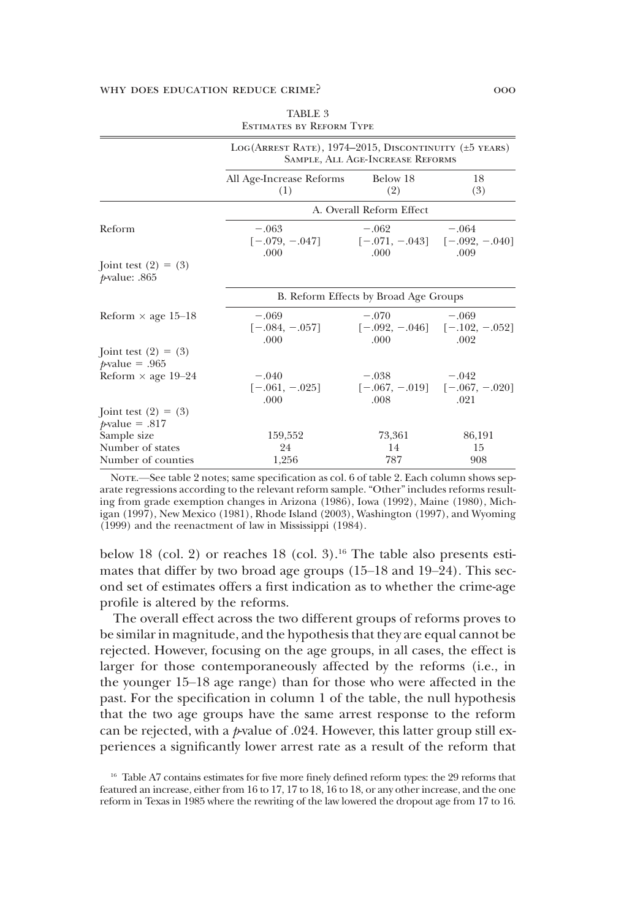| All Age-Increase Reforms |                       |                                                                                                                                                                                                                                                            |
|--------------------------|-----------------------|------------------------------------------------------------------------------------------------------------------------------------------------------------------------------------------------------------------------------------------------------------|
| Below 18<br>(1)<br>(2)   |                       | 18<br>(3)                                                                                                                                                                                                                                                  |
|                          |                       |                                                                                                                                                                                                                                                            |
| $-.063$                  | $-.062$               | $-.064$<br>.009                                                                                                                                                                                                                                            |
|                          |                       |                                                                                                                                                                                                                                                            |
|                          |                       |                                                                                                                                                                                                                                                            |
| $-.069$                  | $-.070$<br>$-.069$    | .002                                                                                                                                                                                                                                                       |
|                          |                       |                                                                                                                                                                                                                                                            |
| $-.040$<br>.000          | $-.038$<br>.008       | $-.042$<br>.021                                                                                                                                                                                                                                            |
|                          |                       |                                                                                                                                                                                                                                                            |
| 159.552<br>24            | 73.361<br>14          | 86,191<br>15<br>908                                                                                                                                                                                                                                        |
|                          | .000<br>.000<br>1,256 | A. Overall Reform Effect<br>$[-.079, -.047]$ $[-.071, -.043]$ $[-.092, -.040]$<br>.000<br>B. Reform Effects by Broad Age Groups<br>$[-.084, -.057]$ $[-.092, -.046]$ $[-.102, -.052]$<br>.000<br>$[-.061, -.025]$ $[-.067, -.019]$ $[-.067, -.020]$<br>787 |

| <b>TABLE 3</b>                  |  |  |  |  |  |
|---------------------------------|--|--|--|--|--|
| <b>ESTIMATES BY REFORM TYPE</b> |  |  |  |  |  |

NOTE.—See table 2 notes; same specification as col. 6 of table 2. Each column shows separate regressions according to the relevant reform sample. "Other" includes reforms resulting from grade exemption changes in Arizona (1986), Iowa (1992), Maine (1980), Michigan (1997), New Mexico (1981), Rhode Island (2003), Washington (1997), and Wyoming (1999) and the reenactment of law in Mississippi (1984).

below 18 (col. 2) or reaches  $18$  (col. 3).<sup>16</sup> The table also presents estimates that differ by two broad age groups (15–18 and 19–24). This second set of estimates offers a first indication as to whether the crime-age profile is altered by the reforms.

The overall effect across the two different groups of reforms proves to be similar in magnitude, and the hypothesis that they are equal cannot be rejected. However, focusing on the age groups, in all cases, the effect is larger for those contemporaneously affected by the reforms (i.e., in the younger 15–18 age range) than for those who were affected in the past. For the specification in column 1 of the table, the null hypothesis that the two age groups have the same arrest response to the reform can be rejected, with a *p*-value of .024. However, this latter group still experiences a significantly lower arrest rate as a result of the reform that

<sup>&</sup>lt;sup>16</sup> Table A7 contains estimates for five more finely defined reform types: the 29 reforms that featured an increase, either from 16 to 17, 17 to 18, 16 to 18, or any other increase, and the one reform in Texas in 1985 where the rewriting of the law lowered the dropout age from 17 to 16.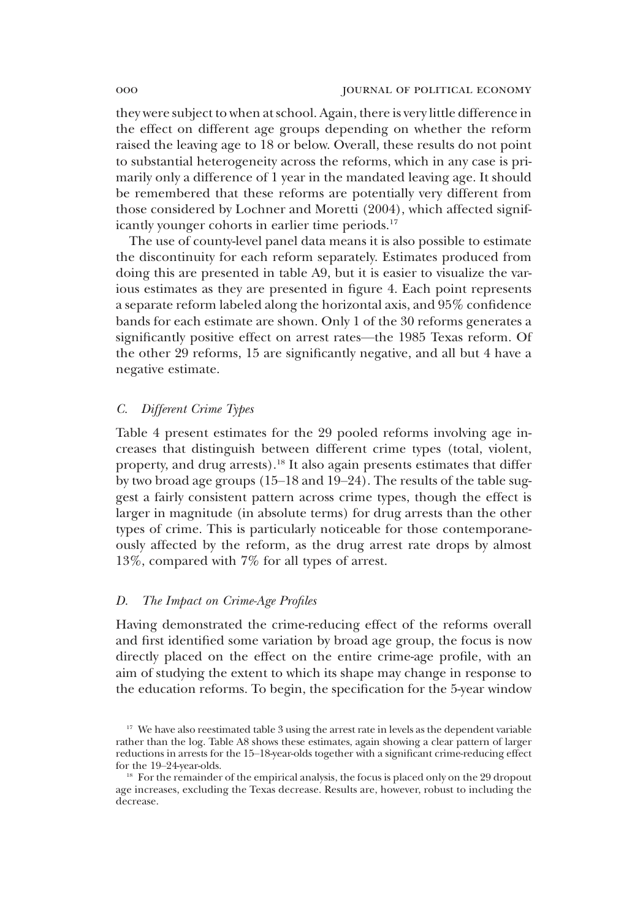they were subject to when at school. Again, there is very little difference in the effect on different age groups depending on whether the reform raised the leaving age to 18 or below. Overall, these results do not point to substantial heterogeneity across the reforms, which in any case is primarily only a difference of 1 year in the mandated leaving age. It should be remembered that these reforms are potentially very different from those considered by Lochner and Moretti (2004), which affected significantly younger cohorts in earlier time periods.<sup>17</sup>

The use of county-level panel data means it is also possible to estimate the discontinuity for each reform separately. Estimates produced from doing this are presented in table A9, but it is easier to visualize the various estimates as they are presented in figure 4. Each point represents a separate reform labeled along the horizontal axis, and 95% confidence bands for each estimate are shown. Only 1 of the 30 reforms generates a significantly positive effect on arrest rates—the 1985 Texas reform. Of the other 29 reforms, 15 are significantly negative, and all but 4 have a negative estimate.

## *C. Different Crime Types*

Table 4 present estimates for the 29 pooled reforms involving age increases that distinguish between different crime types (total, violent, property, and drug arrests).<sup>18</sup> It also again presents estimates that differ by two broad age groups (15–18 and 19–24). The results of the table suggest a fairly consistent pattern across crime types, though the effect is larger in magnitude (in absolute terms) for drug arrests than the other types of crime. This is particularly noticeable for those contemporaneously affected by the reform, as the drug arrest rate drops by almost 13%, compared with 7% for all types of arrest.

## *D. The Impact on Crime-Age Profiles*

Having demonstrated the crime-reducing effect of the reforms overall and first identified some variation by broad age group, the focus is now directly placed on the effect on the entire crime-age profile, with an aim of studying the extent to which its shape may change in response to the education reforms. To begin, the specification for the 5-year window

<sup>&</sup>lt;sup>17</sup> We have also reestimated table 3 using the arrest rate in levels as the dependent variable rather than the log. Table A8 shows these estimates, again showing a clear pattern of larger reductions in arrests for the 15–18-year-olds together with a significant crime-reducing effect for the 19–24-year-olds.

<sup>&</sup>lt;sup>18</sup> For the remainder of the empirical analysis, the focus is placed only on the 29 dropout age increases, excluding the Texas decrease. Results are, however, robust to including the decrease.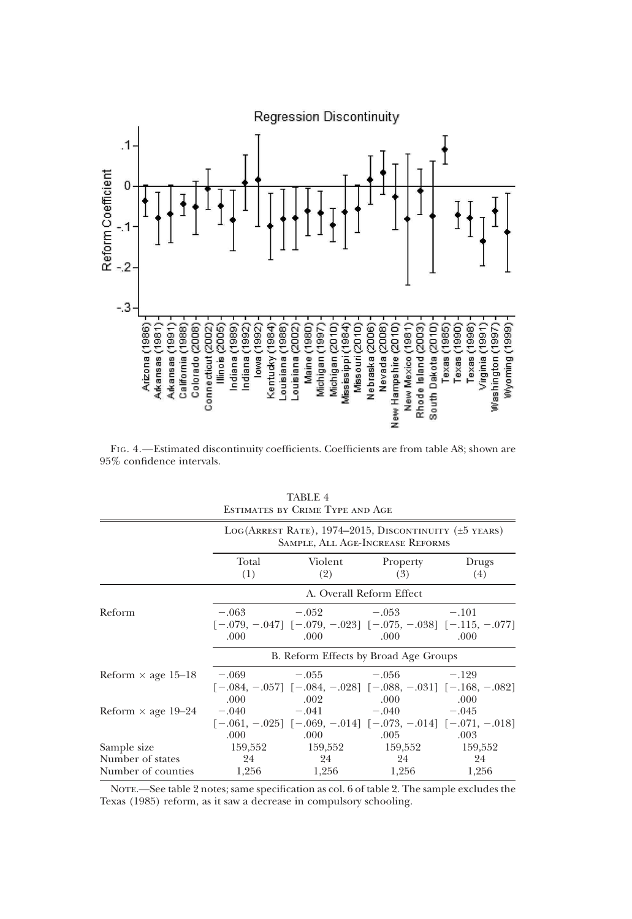

FIG. 4.—Estimated discontinuity coefficients. Coefficients are from table A8; shown are  $95\%$  confidence intervals.

|                           | LOG(ARREST RATE), 1974–2015, DISCONTINUITY ( $\pm$ 5 YEARS)<br>SAMPLE, ALL AGE-INCREASE REFORMS |                |                                                                                                                  |              |  |  |
|---------------------------|-------------------------------------------------------------------------------------------------|----------------|------------------------------------------------------------------------------------------------------------------|--------------|--|--|
|                           | Total<br>(1)                                                                                    | Violent<br>(2) | Property<br>(3)                                                                                                  | Drugs<br>(4) |  |  |
|                           |                                                                                                 |                | A. Overall Reform Effect                                                                                         |              |  |  |
| Reform                    | .000                                                                                            | .000           | $-.063$ $-.052$ $-.053$ $-.101$<br>$[-.079, -.047]$ $[-.079, -.023]$ $[-.075, -.038]$ $[-.115, -.077]$<br>.000.  | .000         |  |  |
|                           | B. Reform Effects by Broad Age Groups                                                           |                |                                                                                                                  |              |  |  |
| Reform $\times$ age 15–18 | .000.                                                                                           | .002           | $-0.069$ $-0.055$ $-0.056$ $-129$<br>$[-.084, -.057]$ $[-.084, -.028]$ $[-.088, -.031]$ $[-.168, -.082]$<br>.000 | .000         |  |  |
| Reform $\times$ age 19–24 | .000                                                                                            | .000           | $-.040$ $-.041$ $-.040$ $-.045$<br>$[-.061, -.025]$ $[-.069, -.014]$ $[-.073, -.014]$ $[-.071, -.018]$<br>.005   | .003         |  |  |
| Sample size               |                                                                                                 |                | 159,552 159,552 159,552 159,552                                                                                  |              |  |  |
| Number of states          | 24                                                                                              | 24             | 24                                                                                                               | 24           |  |  |
| Number of counties        | 1,256                                                                                           | 1,256          | 1,256                                                                                                            | 1,256        |  |  |

TABLE 4 Estimates by Crime Type and Age

NOTE.—See table 2 notes; same specification as col. 6 of table 2. The sample excludes the Texas (1985) reform, as it saw a decrease in compulsory schooling.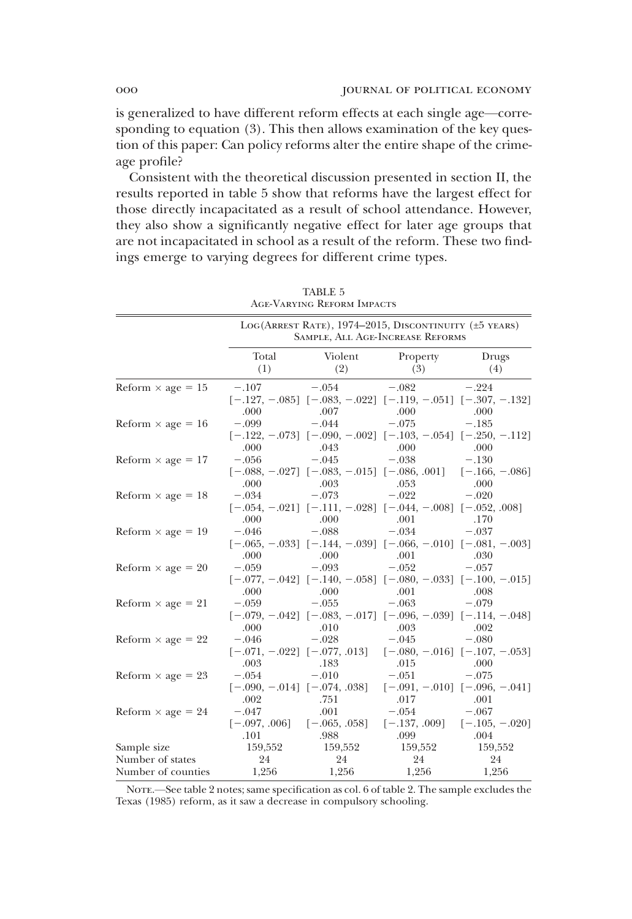is generalized to have different reform effects at each single age—corresponding to equation (3). This then allows examination of the key question of this paper: Can policy reforms alter the entire shape of the crimeage profile?

Consistent with the theoretical discussion presented in section II, the results reported in table 5 show that reforms have the largest effect for those directly incapacitated as a result of school attendance. However, they also show a significantly negative effect for later age groups that are not incapacitated in school as a result of the reform. These two findings emerge to varying degrees for different crime types.

| <b>AGE-VARYING REFORM IMPACTS</b> |                                                                                           |                                                                                        |                 |                                                      |  |
|-----------------------------------|-------------------------------------------------------------------------------------------|----------------------------------------------------------------------------------------|-----------------|------------------------------------------------------|--|
|                                   | LOG(ARREST RATE), 1974-2015, DISCONTINUITY (±5 YEARS)<br>SAMPLE, ALL AGE-INCREASE REFORMS |                                                                                        |                 |                                                      |  |
|                                   | Total<br>(1)                                                                              | Violent<br>(2)                                                                         | Property<br>(3) | Drugs<br>(4)                                         |  |
| Reform $\times$ age = 15          | $-.107$<br>.000                                                                           | $-.054$<br>$[-.127, -.085]$ $[-.083, -.022]$ $[-.119, -.051]$ $[-.307, -.132]$<br>.007 | $-.082$<br>.000 | $-.224$<br>.000                                      |  |
| Reform $\times$ age = 16          | $-.099$<br>.000                                                                           | $-.044$<br>$[-.122, -.073]$ $[-.090, -.002]$ $[-.103, -.054]$ $[-.250, -.112]$<br>.043 | $-.075$<br>.000 | $-.185$<br>.000                                      |  |
| Reform $\times$ age = 17          | $-.056$<br>.000                                                                           | $-.045$<br>$[-.088, -.027]$ $[-.083, -.015]$ $[-.086, .001]$ $[-.166, -.086]$<br>.003  | $-.038$<br>.053 | $-.130$<br>.000                                      |  |
| Reform $\times$ age = 18          | $-.034$<br>.000                                                                           | $-.073$<br>$[-.054, -.021]$ $[-.111, -.028]$ $[-.044, -.008]$ $[-.052, .008]$<br>.000  | $-.022$<br>.001 | $-.020$<br>.170                                      |  |
| Reform $\times$ age = 19          | $-.046$<br>.000                                                                           | $-.088$<br>$[-.065, -.033]$ $[-.144, -.039]$ $[-.066, -.010]$ $[-.081, -.003]$<br>.000 | $-.034$<br>.001 | $-.037$<br>.030                                      |  |
| Reform $\times$ age = 20          | $-.059$<br>.000                                                                           | $-.093$<br>$[-.077, -.042]$ $[-.140, -.058]$ $[-.080, -.033]$ $[-.100, -.015]$<br>.000 | $-.052$<br>.001 | $-.057$<br>.008                                      |  |
| Reform $\times$ age = 21          | $-.059$<br>.000                                                                           | $-.055$<br>$[-.079, -.042]$ $[-.083, -.017]$ $[-.096, -.039]$ $[-.114, -.048]$<br>.010 | $-.063$<br>.003 | $-.079$<br>.002                                      |  |
| Reform $\times$ age = 22          | $-.046$<br>.003                                                                           | $-.028$<br>$[-.071, -.022]$ $[-.077, .013]$ $[-.080, -.016]$ $[-.107, -.053]$<br>.183  | $-.045$<br>.015 | $-.080$<br>.000                                      |  |
| Reform $\times$ age = 23          | $-.054$<br>.002                                                                           | $-.010$<br>$[-.090, -.014]$ $[-.074, .038]$<br>.751                                    | $-.051$<br>.017 | $-.075$<br>$[-.091, -.010]$ $[-.096, -.041]$<br>.001 |  |
| Reform $\times$ age = 24          | $-.047$<br>.101                                                                           | .001<br>$[-.097, .006]$ $[-.065, .058]$<br>.988                                        | $-.054$<br>.099 | $-.067$<br>$[-.137, .009]$ $[-.105, -.020]$<br>.004  |  |
| Sample size<br>Number of states   | 159,552<br>24                                                                             | 159,552<br>24                                                                          | 159,552<br>24   | 159,552<br>24                                        |  |
| Number of counties                | 1,256                                                                                     | 1,256                                                                                  | 1,256           | 1,256                                                |  |

| <b>TABLE 5</b>           |  |
|--------------------------|--|
| ge-Varying Reform Impact |  |

NOTE.—See table 2 notes; same specification as col. 6 of table 2. The sample excludes the Texas (1985) reform, as it saw a decrease in compulsory schooling.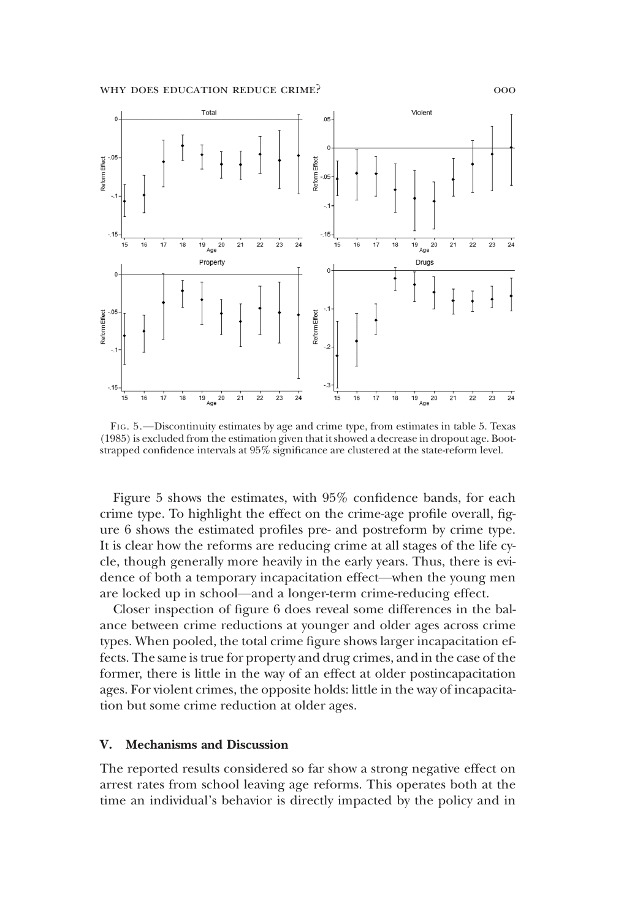

FIG. 5.—Discontinuity estimates by age and crime type, from estimates in table 5. Texas (1985) is excluded from the estimation given that it showed a decrease in dropout age. Bootstrapped confidence intervals at 95% significance are clustered at the state-reform level.

Figure 5 shows the estimates, with 95% confidence bands, for each crime type. To highlight the effect on the crime-age profile overall, figure 6 shows the estimated profiles pre- and postreform by crime type. It is clear how the reforms are reducing crime at all stages of the life cycle, though generally more heavily in the early years. Thus, there is evidence of both a temporary incapacitation effect—when the young men are locked up in school—and a longer-term crime-reducing effect.

Closer inspection of figure 6 does reveal some differences in the balance between crime reductions at younger and older ages across crime types. When pooled, the total crime figure shows larger incapacitation effects. The same is true for property and drug crimes, and in the case of the former, there is little in the way of an effect at older postincapacitation ages. For violent crimes, the opposite holds: little in the way of incapacitation but some crime reduction at older ages.

#### V. Mechanisms and Discussion

The reported results considered so far show a strong negative effect on arrest rates from school leaving age reforms. This operates both at the time an individual's behavior is directly impacted by the policy and in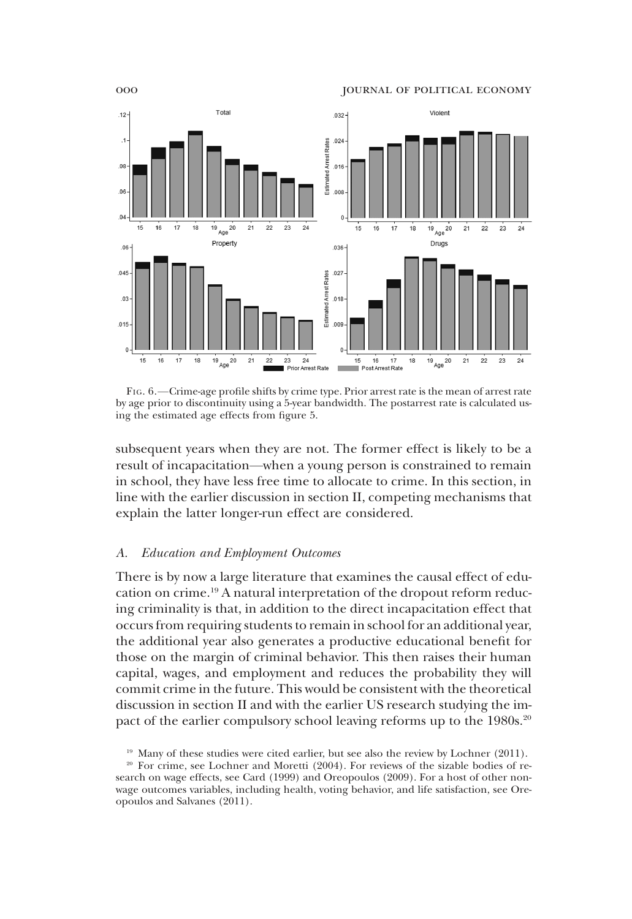

FIG. 6.—Crime-age profile shifts by crime type. Prior arrest rate is the mean of arrest rate by age prior to discontinuity using a 5-year bandwidth. The postarrest rate is calculated using the estimated age effects from figure 5.

subsequent years when they are not. The former effect is likely to be a result of incapacitation—when a young person is constrained to remain in school, they have less free time to allocate to crime. In this section, in line with the earlier discussion in section II, competing mechanisms that explain the latter longer-run effect are considered.

#### *A. Education and Employment Outcomes*

There is by now a large literature that examines the causal effect of education on crime.<sup>19</sup> A natural interpretation of the dropout reform reducing criminality is that, in addition to the direct incapacitation effect that occurs from requiring students to remain in school for an additional year, the additional year also generates a productive educational benefit for those on the margin of criminal behavior. This then raises their human capital, wages, and employment and reduces the probability they will commit crime in the future. This would be consistent with the theoretical discussion in section II and with the earlier US research studying the impact of the earlier compulsory school leaving reforms up to the 1980s.<sup>20</sup>

 $19$  Many of these studies were cited earlier, but see also the review by Lochner (2011).

<sup>&</sup>lt;sup>20</sup> For crime, see Lochner and Moretti (2004). For reviews of the sizable bodies of research on wage effects, see Card (1999) and Oreopoulos (2009). For a host of other nonwage outcomes variables, including health, voting behavior, and life satisfaction, see Oreopoulos and Salvanes (2011).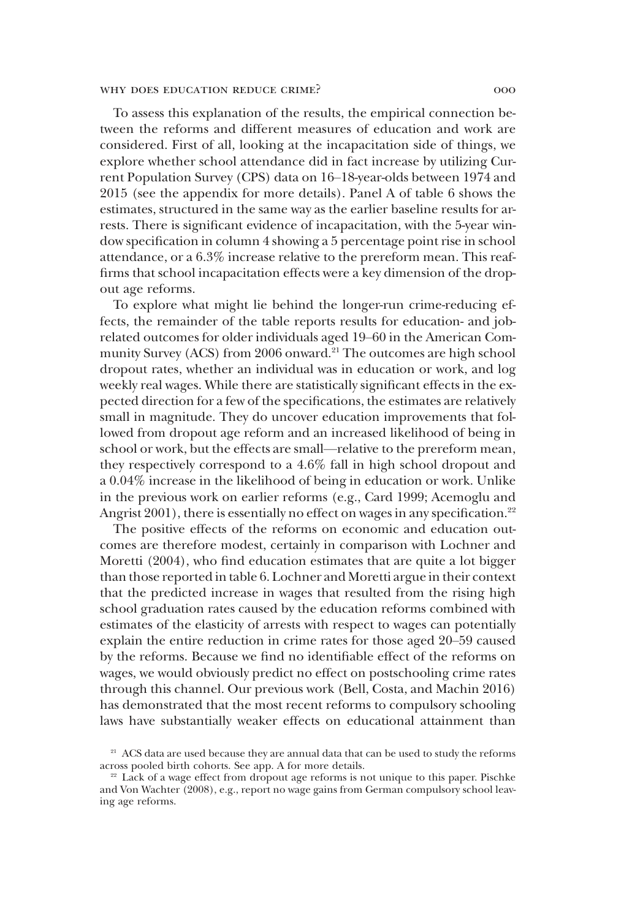To assess this explanation of the results, the empirical connection between the reforms and different measures of education and work are considered. First of all, looking at the incapacitation side of things, we explore whether school attendance did in fact increase by utilizing Current Population Survey (CPS) data on 16–18-year-olds between 1974 and 2015 (see the appendix for more details). Panel A of table 6 shows the estimates, structured in the same way as the earlier baseline results for arrests. There is significant evidence of incapacitation, with the 5-year window specification in column 4 showing a 5 percentage point rise in school attendance, or a 6.3% increase relative to the prereform mean. This reaffirms that school incapacitation effects were a key dimension of the dropout age reforms.

To explore what might lie behind the longer-run crime-reducing effects, the remainder of the table reports results for education- and jobrelated outcomes for older individuals aged 19–60 in the American Community Survey (ACS) from 2006 onward.<sup>21</sup> The outcomes are high school dropout rates, whether an individual was in education or work, and log weekly real wages. While there are statistically significant effects in the expected direction for a few of the specifications, the estimates are relatively small in magnitude. They do uncover education improvements that followed from dropout age reform and an increased likelihood of being in school or work, but the effects are small—relative to the prereform mean, they respectively correspond to a 4.6% fall in high school dropout and a 0.04% increase in the likelihood of being in education or work. Unlike in the previous work on earlier reforms (e.g., Card 1999; Acemoglu and Angrist  $2001$ ), there is essentially no effect on wages in any specification.<sup>22</sup>

The positive effects of the reforms on economic and education outcomes are therefore modest, certainly in comparison with Lochner and Moretti (2004), who find education estimates that are quite a lot bigger than those reported in table 6. Lochner and Moretti argue in their context that the predicted increase in wages that resulted from the rising high school graduation rates caused by the education reforms combined with estimates of the elasticity of arrests with respect to wages can potentially explain the entire reduction in crime rates for those aged 20–59 caused by the reforms. Because we find no identifiable effect of the reforms on wages, we would obviously predict no effect on postschooling crime rates through this channel. Our previous work (Bell, Costa, and Machin 2016) has demonstrated that the most recent reforms to compulsory schooling laws have substantially weaker effects on educational attainment than

<sup>&</sup>lt;sup>21</sup> ACS data are used because they are annual data that can be used to study the reforms across pooled birth cohorts. See app. A for more details.

<sup>&</sup>lt;sup>22</sup> Lack of a wage effect from dropout age reforms is not unique to this paper. Pischke and Von Wachter (2008), e.g., report no wage gains from German compulsory school leaving age reforms.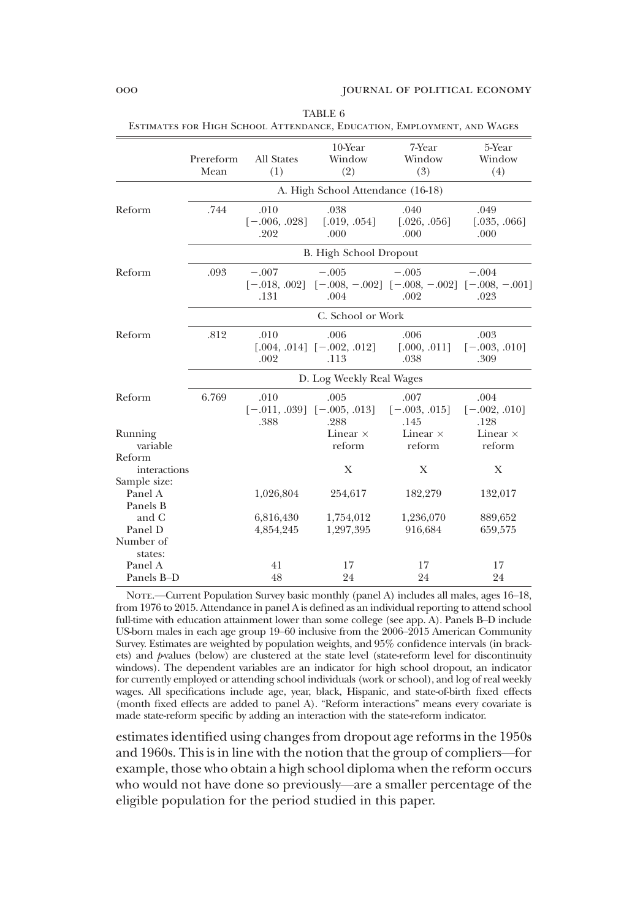|                                        | Prereform<br>Mean | All States<br>(1)                  | 10-Year<br>Window<br>(2)                        | 7-Year<br>Window<br>(3)                                               | 5-Year<br>Window<br>(4)         |
|----------------------------------------|-------------------|------------------------------------|-------------------------------------------------|-----------------------------------------------------------------------|---------------------------------|
|                                        |                   |                                    | A. High School Attendance (16-18)               |                                                                       |                                 |
| Reform                                 | .744              | .010<br>$[-.006, .028]$<br>.202    | .038<br>[.019, .054]<br>.000                    | .040<br>[.026, .056]<br>.000                                          | .049<br>[.035, .066]<br>.000    |
|                                        |                   |                                    | <b>B.</b> High School Dropout                   |                                                                       |                                 |
| Reform                                 | .093              | $-.007$<br>$[-.018, .002]$<br>.131 | $-.005$<br>.004                                 | $-.005$<br>$[-.008, -.002]$ $[-.008, -.002]$ $[-.008, -.001]$<br>.002 | $-.004$<br>.023                 |
|                                        |                   |                                    | C. School or Work                               |                                                                       |                                 |
| Reform                                 | .812              | .010<br>.002                       | .006<br>$[.004, .014]$ $[-.002, .012]$<br>.113  | .006<br>[.000, .011]<br>.038                                          | .003<br>$[-.003, .010]$<br>.309 |
|                                        |                   |                                    | D. Log Weekly Real Wages                        |                                                                       |                                 |
| Reform                                 | 6.769             | .010<br>.388                       | .005<br>$[-.011, .039]$ $[-.005, .013]$<br>.288 | .007<br>$[-.003, .015]$<br>.145                                       | .004<br>$[-.002, .010]$<br>.128 |
| Running<br>variable                    |                   |                                    | Linear $\times$<br>reform                       | Linear $\times$<br>reform                                             | Linear $\times$<br>reform       |
| Reform<br>interactions<br>Sample size: |                   |                                    | X                                               | X                                                                     | X                               |
| Panel A<br>Panels B                    |                   | 1,026,804                          | 254,617                                         | 182,279                                                               | 132,017                         |
| and C<br>Panel D                       |                   | 6,816,430<br>4,854,245             | 1,754,012<br>1,297,395                          | 1,236,070<br>916,684                                                  | 889,652<br>659,575              |
| Number of<br>states:                   |                   |                                    |                                                 |                                                                       |                                 |
| Panel A<br>Panels B-D                  |                   | 41<br>48                           | 17<br>24                                        | 17<br>24                                                              | 17<br>24                        |

TABLE 6 Estimates for High School Attendance, Education, Employment, and Wages

NOTE.—Current Population Survey basic monthly (panel A) includes all males, ages 16-18, from 1976 to 2015. Attendance in panel A is defined as an individual reporting to attend school full-time with education attainment lower than some college (see app. A). Panels B–D include US-born males in each age group 19–60 inclusive from the 2006–2015 American Community Survey. Estimates are weighted by population weights, and 95% confidence intervals (in brackets) and *p*-values (below) are clustered at the state level (state-reform level for discontinuity windows). The dependent variables are an indicator for high school dropout, an indicator for currently employed or attending school individuals (work or school), and log of real weekly wages. All specifications include age, year, black, Hispanic, and state-of-birth fixed effects (month fixed effects are added to panel A). "Reform interactions" means every covariate is made state-reform specific by adding an interaction with the state-reform indicator.

estimates identified using changes from dropout age reforms in the 1950s and 1960s. This is in line with the notion that the group of compliers—for example, those who obtain a high school diploma when the reform occurs who would not have done so previously—are a smaller percentage of the eligible population for the period studied in this paper.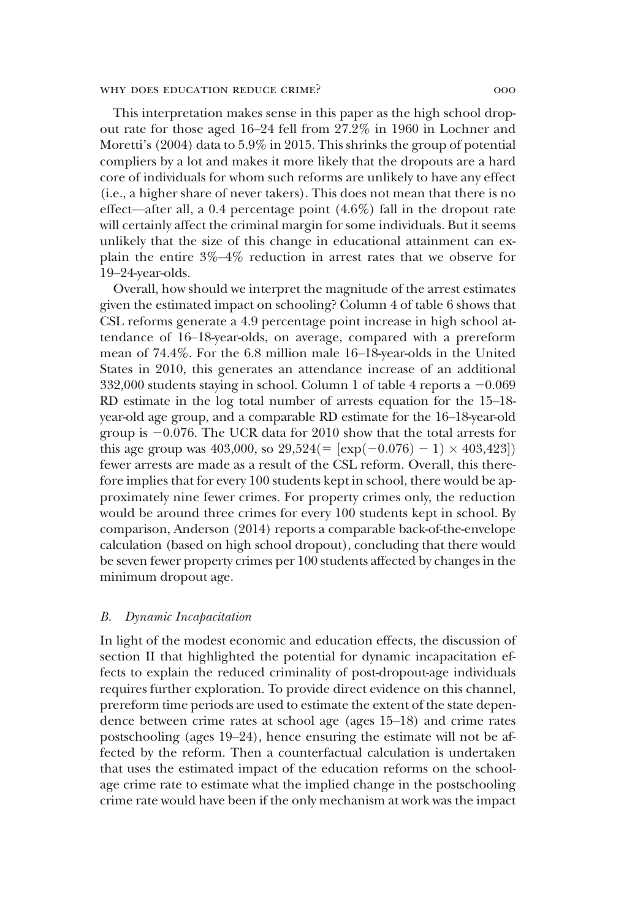This interpretation makes sense in this paper as the high school dropout rate for those aged 16–24 fell from 27.2% in 1960 in Lochner and Moretti's (2004) data to 5.9% in 2015. This shrinks the group of potential compliers by a lot and makes it more likely that the dropouts are a hard core of individuals for whom such reforms are unlikely to have any effect (i.e., a higher share of never takers). This does not mean that there is no effect—after all, a 0.4 percentage point (4.6%) fall in the dropout rate will certainly affect the criminal margin for some individuals. But it seems unlikely that the size of this change in educational attainment can explain the entire 3%–4% reduction in arrest rates that we observe for 19–24-year-olds.

Overall, how should we interpret the magnitude of the arrest estimates given the estimated impact on schooling? Column 4 of table 6 shows that CSL reforms generate a 4.9 percentage point increase in high school attendance of 16–18-year-olds, on average, compared with a prereform mean of 74.4%. For the 6.8 million male 16–18-year-olds in the United States in 2010, this generates an attendance increase of an additional 332,000 students staying in school. Column 1 of table 4 reports a  $-0.069$ RD estimate in the log total number of arrests equation for the 15–18 year-old age group, and a comparable RD estimate for the 16–18-year-old group is  $-0.076$ . The UCR data for 2010 show that the total arrests for this age group was 403,000, so  $29,524$ (= [exp(-0.076) - 1)  $\times$  403,423]) fewer arrests are made as a result of the CSL reform. Overall, this therefore implies that for every 100 students kept in school, there would be approximately nine fewer crimes. For property crimes only, the reduction would be around three crimes for every 100 students kept in school. By comparison, Anderson (2014) reports a comparable back-of-the-envelope calculation (based on high school dropout), concluding that there would be seven fewer property crimes per 100 students affected by changes in the minimum dropout age.

#### *B. Dynamic Incapacitation*

In light of the modest economic and education effects, the discussion of section II that highlighted the potential for dynamic incapacitation effects to explain the reduced criminality of post-dropout-age individuals requires further exploration. To provide direct evidence on this channel, prereform time periods are used to estimate the extent of the state dependence between crime rates at school age (ages 15–18) and crime rates postschooling (ages 19–24), hence ensuring the estimate will not be affected by the reform. Then a counterfactual calculation is undertaken that uses the estimated impact of the education reforms on the schoolage crime rate to estimate what the implied change in the postschooling crime rate would have been if the only mechanism at work was the impact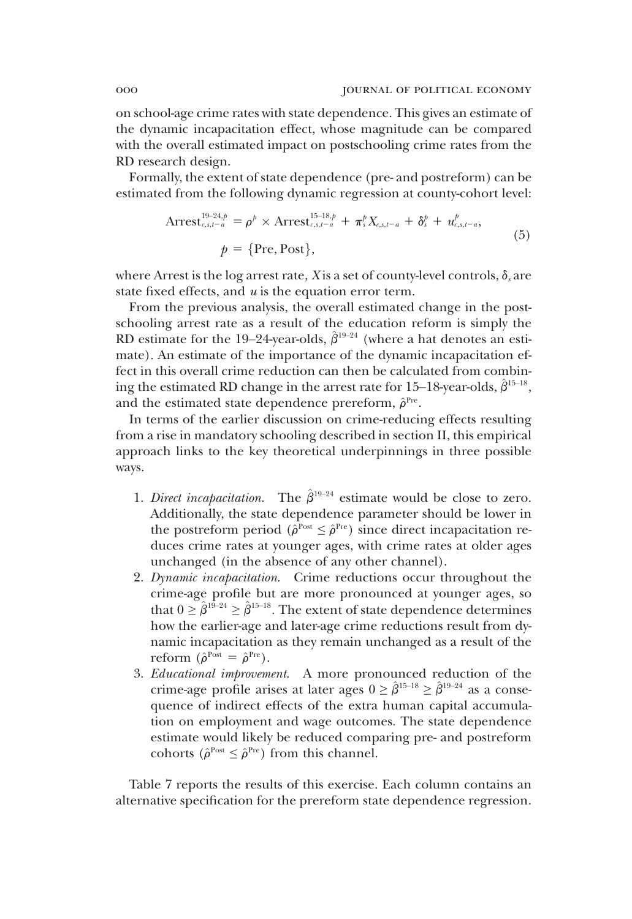on school-age crime rates with state dependence. This gives an estimate of the dynamic incapacitation effect, whose magnitude can be compared with the overall estimated impact on postschooling crime rates from the RD research design.

Formally, the extent of state dependence (pre- and postreform) can be estimated from the following dynamic regression at county-cohort level:

Arres
$$
t_{c,s,t-a}^{19-24,p} = \rho^p \times \text{Arres}t_{c,s,t-a}^{15-18,p} + \pi_s^p X_{c,s,t-a} + \delta_s^p + u_{c,s,t-a}^p,
$$
  
\n
$$
p = \{\text{Pre}, \text{Post}\},
$$
\n(5)

where Arrest is the log arrest rate, *X* is a set of county-level controls,  $\delta_s$  are state fixed effects, and *u* is the equation error term.

From the previous analysis, the overall estimated change in the postschooling arrest rate as a result of the education reform is simply the RD estimate for the 19–24-year-olds,  $\hat{\beta}^{19-24}$  (where a hat denotes an estimate). An estimate of the importance of the dynamic incapacitation effect in this overall crime reduction can then be calculated from combining the estimated RD change in the arrest rate for  $15-18$ -year-olds,  $\hat{\beta}^{15-18}$ , and the estimated state dependence prereform,  $\hat{\rho}^{\text{Pre}}$ .

In terms of the earlier discussion on crime-reducing effects resulting from a rise in mandatory schooling described in section II, this empirical approach links to the key theoretical underpinnings in three possible ways.

- 1. *Direct incapacitation*. The  $\hat{\beta}^{19-24}$  estimate would be close to zero. Additionally, the state dependence parameter should be lower in the postreform period ( $\hat{\rho}^{\text{Post}} \leq \hat{\rho}^{\text{Pre}}$ ) since direct incapacitation reduces crime rates at younger ages, with crime rates at older ages unchanged (in the absence of any other channel).
- 2. *Dynamic incapacitation*. Crime reductions occur throughout the crime-age profile but are more pronounced at younger ages, so that  $0 \leq \hat{\beta}^{19-24} \geq \hat{\beta}^{15-18}$ . The extent of state dependence determines how the earlier-age and later-age crime reductions result from dynamic incapacitation as they remain unchanged as a result of the reform  $(\hat{\rho}^{\text{Post}} = \hat{\rho}^{\text{Pre}})$ .
- 3. *Educational improvement*. A more pronounced reduction of the crime-age profile arises at later ages  $0 \geq \hat{\beta}^{15-18} \geq \hat{\beta}^{19-24}$  as a consequence of indirect effects of the extra human capital accumulation on employment and wage outcomes. The state dependence estimate would likely be reduced comparing pre- and postreform cohorts ( $\hat{\rho}^{\text{Post}} \leq \hat{\rho}^{\text{Pre}}$ ) from this channel.

Table 7 reports the results of this exercise. Each column contains an alternative specification for the prereform state dependence regression.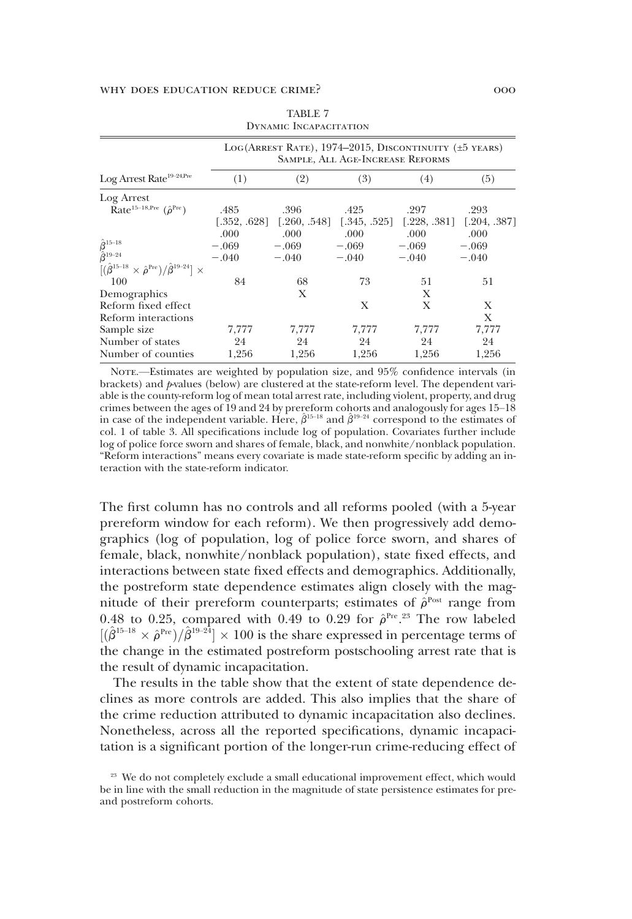|                                                                              | LOG(ARREST RATE), 1974-2015, DISCONTINUITY (±5 YEARS)<br>SAMPLE, ALL AGE-INCREASE REFORMS |         |                               |         |                               |  |
|------------------------------------------------------------------------------|-------------------------------------------------------------------------------------------|---------|-------------------------------|---------|-------------------------------|--|
| Log Arrest Rate <sup>19-24,Pre</sup>                                         | (1)                                                                                       | (2)     | (3)                           | (4)     | (5)                           |  |
| Log Arrest                                                                   |                                                                                           |         |                               |         |                               |  |
| Rate <sup>15-18, Pre</sup> $(\hat{\rho}^{\text{Pre}})$                       | .485                                                                                      | .396    | .425                          | .297    | .293                          |  |
|                                                                              | [.352, .628]                                                                              |         | $[.260, .548]$ $[.345, .525]$ |         | $[.228, .381]$ $[.204, .387]$ |  |
|                                                                              | .000                                                                                      | .000    | .000                          | .000    | .000                          |  |
| $\hat{\hat{\beta}}^{15-18}_{19-24}$                                          | $-.069$                                                                                   | $-.069$ | $-.069$                       | $-.069$ | $-.069$                       |  |
|                                                                              | $-.040$                                                                                   | $-.040$ | $-.040$                       | $-.040$ | $-.040$                       |  |
| $[(\hat{\beta}^{15-18} \times \hat{\rho}^{Pre})/\hat{\beta}^{19-24}] \times$ |                                                                                           |         |                               |         |                               |  |
| 100                                                                          | 84                                                                                        | 68      | 73                            | 51      | 51                            |  |
| Demographics                                                                 |                                                                                           | X       |                               | X       |                               |  |
| Reform fixed effect                                                          |                                                                                           |         | X                             | X       | X                             |  |
| Reform interactions                                                          |                                                                                           |         |                               |         | X                             |  |
| Sample size                                                                  | 7,777                                                                                     | 7,777   | 7.777                         | 7,777   | 7,777                         |  |
| Number of states                                                             | 24                                                                                        | 24      | 24                            | 24      | 24                            |  |
| Number of counties                                                           | 1,256                                                                                     | 1,256   | 1,256                         | 1,256   | 1,256                         |  |

| TABLE 7                |
|------------------------|
| DYNAMIC INCAPACITATION |

NOTE.—Estimates are weighted by population size, and 95% confidence intervals (in brackets) and *p*-values (below) are clustered at the state-reform level. The dependent variable is the county-reform log of mean total arrest rate, including violent, property, and drug crimes between the ages of 19 and 24 by prereform cohorts and analogously for ages 15–18 in case of the independent variable. Here,  $\hat{\beta}^{15-18}$  and  $\hat{\beta}^{19-24}$  correspond to the estimates of col. 1 of table 3. All specifications include log of population. Covariates further include log of police force sworn and shares of female, black, and nonwhite/nonblack population. "Reform interactions" means every covariate is made state-reform specific by adding an interaction with the state-reform indicator.

The first column has no controls and all reforms pooled (with a 5-year prereform window for each reform). We then progressively add demographics (log of population, log of police force sworn, and shares of female, black, nonwhite/nonblack population), state fixed effects, and interactions between state fixed effects and demographics. Additionally, the postreform state dependence estimates align closely with the magnitude of their prereform counterparts; estimates of  $\hat{\rho}^{\text{Post}}$  range from 0.48 to 0.25, compared with 0.49 to 0.29 for  $\hat{\rho}^{\text{Pre 23}}$  The row labeled  $[(\hat{\beta}^{15-18} \times \hat{\rho}^{Pre})/\hat{\beta}^{19-24}] \times 100$  is the share expressed in percentage terms of the change in the estimated postreform postschooling arrest rate that is the result of dynamic incapacitation.

The results in the table show that the extent of state dependence declines as more controls are added. This also implies that the share of the crime reduction attributed to dynamic incapacitation also declines. Nonetheless, across all the reported specifications, dynamic incapacitation is a significant portion of the longer-run crime-reducing effect of

<sup>&</sup>lt;sup>23</sup> We do not completely exclude a small educational improvement effect, which would be in line with the small reduction in the magnitude of state persistence estimates for preand postreform cohorts.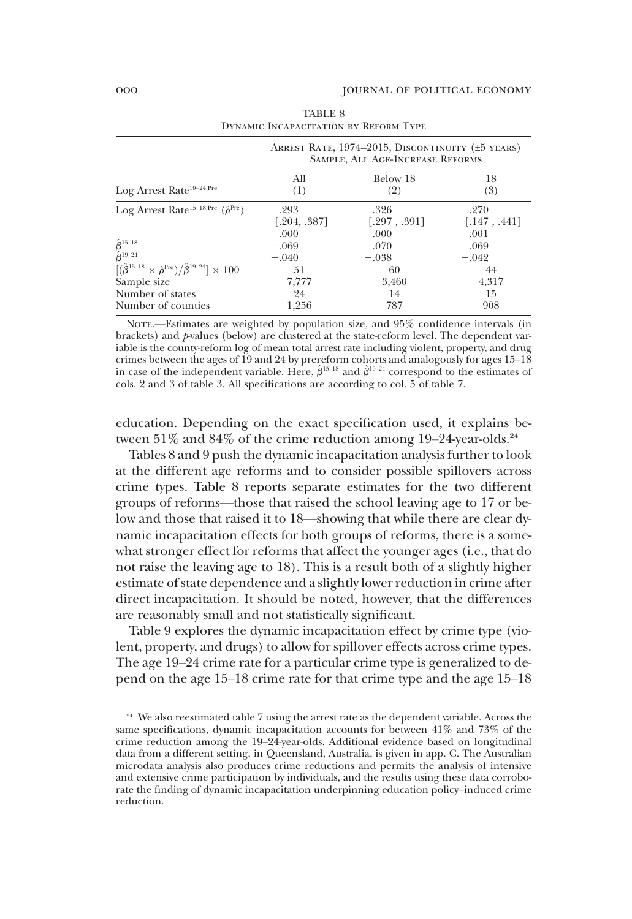|                                                                                  | ARREST RATE, 1974–2015, DISCONTINUITY (±5 YEARS)<br>SAMPLE, ALL AGE-INCREASE REFORMS |              |              |  |  |
|----------------------------------------------------------------------------------|--------------------------------------------------------------------------------------|--------------|--------------|--|--|
| Log Arrest Rate <sup>19-24, Pre</sup>                                            | All                                                                                  | Below 18     | 18           |  |  |
|                                                                                  | (1)                                                                                  | (2)          | (3)          |  |  |
| Log Arrest Rate <sup>15-18, Pre</sup> ( $\hat{\rho}^{\text{Pre}}$ )              | .293                                                                                 | .326         | .270         |  |  |
|                                                                                  | [.204, .387]                                                                         | [.297, .391] | [.147, .441] |  |  |
|                                                                                  | .000                                                                                 | .000         | .001         |  |  |
| $\hat{\beta}^{15-18}$<br>$\hat{\beta}^{19-24}$                                   | $-.069$                                                                              | $-.070$      | $-.069$      |  |  |
|                                                                                  | $-.040$                                                                              | $-.038$      | $-.042$      |  |  |
| $[(\hat{\beta}^{15-18} \times \hat{\rho}^{Pre})/\hat{\beta}^{19-24}] \times 100$ | 51                                                                                   | 60           | 44           |  |  |
| Sample size                                                                      | 7,777                                                                                | 3,460        | 4,317        |  |  |
| Number of states                                                                 | 24                                                                                   | 14           | 15           |  |  |
| Number of counties                                                               | 1,256                                                                                | 787          | 908          |  |  |

TABLE 8 Dynamic Incapacitation by Reform Type

NOTE.—Estimates are weighted by population size, and 95% confidence intervals (in brackets) and *p*-values (below) are clustered at the state-reform level. The dependent variable is the county-reform log of mean total arrest rate including violent, property, and drug crimes between the ages of 19 and 24 by prereform cohorts and analogously for ages 15–18 in case of the independent variable. Here,  $\hat{\beta}^{15-18}$  and  $\hat{\beta}^{19-24}$  correspond to the estimates of cols. 2 and 3 of table 3. All specifications are according to col. 5 of table 7.

education. Depending on the exact specification used, it explains between  $51\%$  and  $84\%$  of the crime reduction among  $19-24$ -year-olds.<sup>24</sup>

Tables 8 and 9 push the dynamic incapacitation analysis further to look at the different age reforms and to consider possible spillovers across crime types. Table 8 reports separate estimates for the two different groups of reforms—those that raised the school leaving age to 17 or below and those that raised it to 18—showing that while there are clear dynamic incapacitation effects for both groups of reforms, there is a somewhat stronger effect for reforms that affect the younger ages (i.e., that do not raise the leaving age to 18). This is a result both of a slightly higher estimate of state dependence and a slightly lower reduction in crime after direct incapacitation. It should be noted, however, that the differences are reasonably small and not statistically significant.

Table 9 explores the dynamic incapacitation effect by crime type (violent, property, and drugs) to allow for spillover effects across crime types. The age 19–24 crime rate for a particular crime type is generalized to depend on the age 15–18 crime rate for that crime type and the age 15–18

<sup>&</sup>lt;sup>24</sup> We also reestimated table 7 using the arrest rate as the dependent variable. Across the same specifications, dynamic incapacitation accounts for between 41% and 73% of the crime reduction among the 19–24-year-olds. Additional evidence based on longitudinal data from a different setting, in Queensland, Australia, is given in app. C. The Australian microdata analysis also produces crime reductions and permits the analysis of intensive and extensive crime participation by individuals, and the results using these data corroborate the finding of dynamic incapacitation underpinning education policy–induced crime reduction.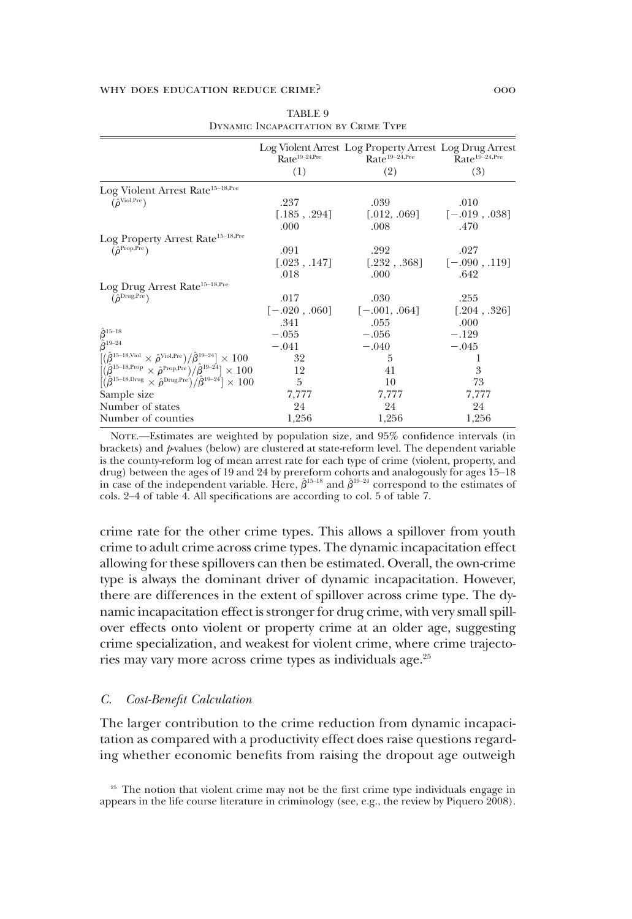|                                                                                                                                | $Rate19-24,Pre$<br>(1) | Log Violent Arrest Log Property Arrest Log Drug Arrest<br>$Rate^{19-24,Pre}$<br>(2) | Rate <sup>19-24, Pre</sup><br>(3)                                                      |
|--------------------------------------------------------------------------------------------------------------------------------|------------------------|-------------------------------------------------------------------------------------|----------------------------------------------------------------------------------------|
| Log Violent Arrest Rate <sup>15-18, Pre</sup>                                                                                  |                        |                                                                                     |                                                                                        |
| $(\hat{\rho}^{\text{Vol,Pre}})$                                                                                                | .237                   | .039                                                                                | .010                                                                                   |
|                                                                                                                                | [.185, .294]           |                                                                                     | $\begin{bmatrix} .012, .069 \end{bmatrix}$ $\begin{bmatrix} -.019, .038 \end{bmatrix}$ |
|                                                                                                                                | .000                   | .008                                                                                | .470                                                                                   |
| Log Property Arrest Rate <sup>15-18, Pre</sup>                                                                                 |                        |                                                                                     |                                                                                        |
| $(\hat{\rho}^{\text{Prop,Pre}})$                                                                                               | .091                   | .292                                                                                | .027                                                                                   |
|                                                                                                                                | [.023, .147]           |                                                                                     | $[-232, .368]$ $[-.090, .119]$                                                         |
|                                                                                                                                | .018                   | .000                                                                                | .642                                                                                   |
| Log Drug Arrest Rate <sup>15-18, Pre</sup>                                                                                     |                        |                                                                                     |                                                                                        |
| $(\hat{\rho}^{\rm Drug,Pre})$                                                                                                  | .017                   | .030                                                                                | .255                                                                                   |
|                                                                                                                                | $[-.020, .060]$        | $[-.001, .064]$                                                                     | [.204, .326]                                                                           |
|                                                                                                                                | .341                   | .055                                                                                | .000                                                                                   |
| $\hat{\hat{\beta}}^{15-18}_{\hat{\hat{\beta}}^{19-24}}$                                                                        | $-.055$                | $-.056$                                                                             | $-.129$                                                                                |
|                                                                                                                                | $-.041$                | $-.040$                                                                             | $-.045$                                                                                |
| $[(\hat{\beta}^{15-18,\text{Viol}} \times \hat{\rho}^{\text{Viol,Pre}})/\hat{\beta}^{19-24}] \times 100$                       | 32                     | 5                                                                                   |                                                                                        |
| $[(\hat{\beta}^{15-18,\text{Prop}} \times \hat{\rho}^{\text{Prop,Pre}})/\hat{\beta}^{19-24}] \times 100$                       | 12                     | 41                                                                                  | 3                                                                                      |
| $\left[\left(\hat{\beta}^{15-18,\text{Drug}} \times \hat{\rho}^{\text{Drug,Pre}}\right)/\hat{\beta}^{19-24}\right] \times 100$ | 5                      | 10                                                                                  | 73                                                                                     |
| Sample size                                                                                                                    | 7,777                  | 7,777                                                                               | 7,777                                                                                  |
| Number of states                                                                                                               | 24                     | 24                                                                                  | 24                                                                                     |
| Number of counties                                                                                                             | 1,256                  | 1,256                                                                               | 1,256                                                                                  |

| TABLE 9                              |  |
|--------------------------------------|--|
| DYNAMIC INCAPACITATION BY CRIME TYPE |  |

NOTE.—Estimates are weighted by population size, and 95% confidence intervals (in brackets) and *p*-values (below) are clustered at state-reform level. The dependent variable is the county-reform log of mean arrest rate for each type of crime (violent, property, and drug) between the ages of 19 and 24 by prereform cohorts and analogously for ages 15–18 in case of the independent variable. Here,  $\hat{\beta}^{15-18}$  and  $\hat{\beta}^{19-24}$  correspond to the estimates of cols. 2–4 of table 4. All specifications are according to col. 5 of table 7.

crime rate for the other crime types. This allows a spillover from youth crime to adult crime across crime types. The dynamic incapacitation effect allowing for these spillovers can then be estimated. Overall, the own-crime type is always the dominant driver of dynamic incapacitation. However, there are differences in the extent of spillover across crime type. The dynamic incapacitation effect is stronger for drug crime, with very small spillover effects onto violent or property crime at an older age, suggesting crime specialization, and weakest for violent crime, where crime trajectories may vary more across crime types as individuals age.<sup>25</sup>

### *C. Cost-Benefit Calculation*

The larger contribution to the crime reduction from dynamic incapacitation as compared with a productivity effect does raise questions regarding whether economic benefits from raising the dropout age outweigh

<sup>&</sup>lt;sup>25</sup> The notion that violent crime may not be the first crime type individuals engage in appears in the life course literature in criminology (see, e.g., the review by Piquero 2008).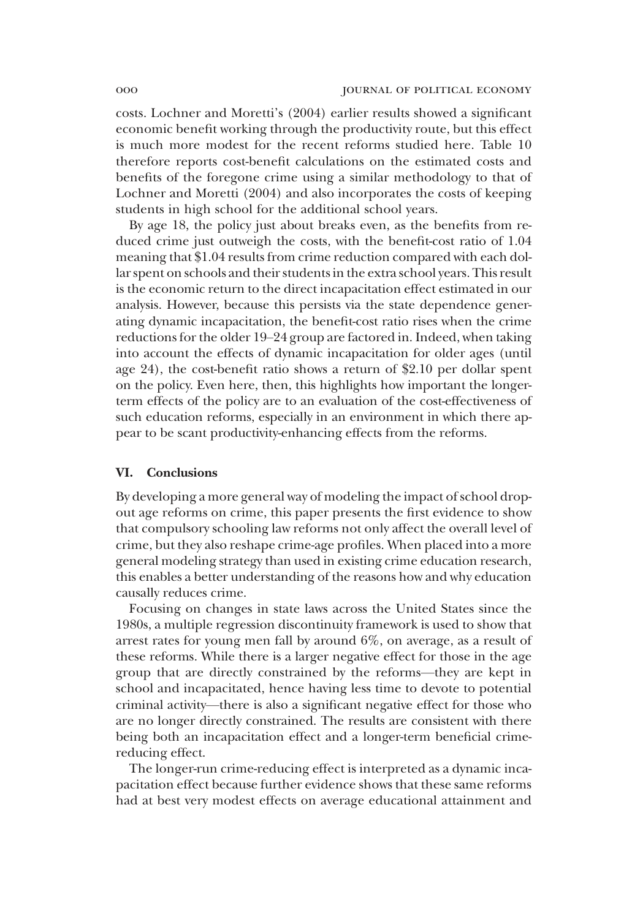costs. Lochner and Moretti's (2004) earlier results showed a significant economic benefit working through the productivity route, but this effect is much more modest for the recent reforms studied here. Table 10 therefore reports cost-benefit calculations on the estimated costs and benefits of the foregone crime using a similar methodology to that of Lochner and Moretti (2004) and also incorporates the costs of keeping students in high school for the additional school years.

By age 18, the policy just about breaks even, as the benefits from reduced crime just outweigh the costs, with the benefit-cost ratio of 1.04 meaning that \$1.04 results from crime reduction compared with each dollar spent on schools and their students in the extra school years. This result is the economic return to the direct incapacitation effect estimated in our analysis. However, because this persists via the state dependence generating dynamic incapacitation, the benefit-cost ratio rises when the crime reductions for the older 19–24 group are factored in. Indeed, when taking into account the effects of dynamic incapacitation for older ages (until age 24), the cost-benefit ratio shows a return of \$2.10 per dollar spent on the policy. Even here, then, this highlights how important the longerterm effects of the policy are to an evaluation of the cost-effectiveness of such education reforms, especially in an environment in which there appear to be scant productivity-enhancing effects from the reforms.

#### VI. Conclusions

By developing a more general way of modeling the impact of school dropout age reforms on crime, this paper presents the first evidence to show that compulsory schooling law reforms not only affect the overall level of crime, but they also reshape crime-age profiles. When placed into a more general modeling strategy than used in existing crime education research, this enables a better understanding of the reasons how and why education causally reduces crime.

Focusing on changes in state laws across the United States since the 1980s, a multiple regression discontinuity framework is used to show that arrest rates for young men fall by around 6%, on average, as a result of these reforms. While there is a larger negative effect for those in the age group that are directly constrained by the reforms—they are kept in school and incapacitated, hence having less time to devote to potential criminal activity—there is also a significant negative effect for those who are no longer directly constrained. The results are consistent with there being both an incapacitation effect and a longer-term beneficial crimereducing effect.

The longer-run crime-reducing effect is interpreted as a dynamic incapacitation effect because further evidence shows that these same reforms had at best very modest effects on average educational attainment and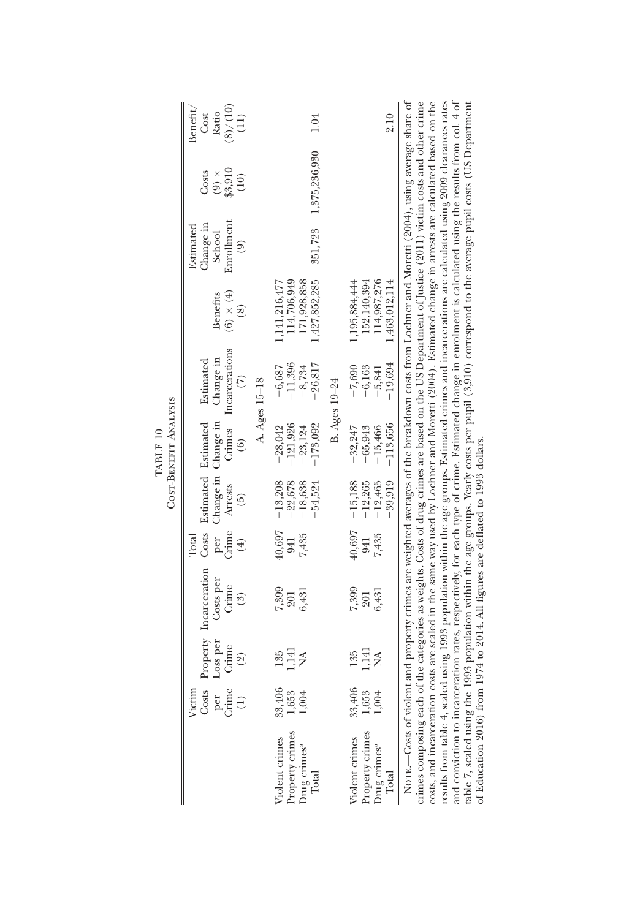|                                                                                                                                                                                                                                                                                                                                                                                                                                                                                                                                                                                                                                                                                                                                                                                                                                                                                    |                                 |                                     |                                                                                                                                                  |                                                  |                                               | COST-BENEFIT ANALYSIS<br>TABLE 10                           |                                                             |                                                              |                                                                 |                                          |                                               |
|------------------------------------------------------------------------------------------------------------------------------------------------------------------------------------------------------------------------------------------------------------------------------------------------------------------------------------------------------------------------------------------------------------------------------------------------------------------------------------------------------------------------------------------------------------------------------------------------------------------------------------------------------------------------------------------------------------------------------------------------------------------------------------------------------------------------------------------------------------------------------------|---------------------------------|-------------------------------------|--------------------------------------------------------------------------------------------------------------------------------------------------|--------------------------------------------------|-----------------------------------------------|-------------------------------------------------------------|-------------------------------------------------------------|--------------------------------------------------------------|-----------------------------------------------------------------|------------------------------------------|-----------------------------------------------|
|                                                                                                                                                                                                                                                                                                                                                                                                                                                                                                                                                                                                                                                                                                                                                                                                                                                                                    | Costs<br>per<br>Grime<br>Victim | Loss per<br>Crime<br>$\circledcirc$ | Property Incarceration<br>Costs per<br>Crime<br>$\widehat{\mathrm{S}}$                                                                           | Costs<br><b>Crime</b><br>Total<br>per<br>$(\pm)$ | Change in<br>Arrests<br>$\widetilde{5}$       | Change in<br>Estimated Estimated<br>Crimes<br>$\widehat{6}$ | Incarcerations<br>Change in<br>Estimated<br>$\widehat{\in}$ | $(6) \times (4)$<br>Benefits<br>$\circledS$                  | Enrollment<br>Change in<br>Estimated<br>School<br>$\widehat{e}$ | $(9) \times$<br>\$3,910<br>Costs<br>(10) | (8)/(10)<br>Benefit,<br>Ratio<br>Cost<br>(11) |
|                                                                                                                                                                                                                                                                                                                                                                                                                                                                                                                                                                                                                                                                                                                                                                                                                                                                                    |                                 |                                     |                                                                                                                                                  |                                                  |                                               |                                                             | A. Ages 15-18                                               |                                                              |                                                                 |                                          |                                               |
| Property crimes<br>Drug crimes <sup>a</sup><br>Total<br>Violent crimes                                                                                                                                                                                                                                                                                                                                                                                                                                                                                                                                                                                                                                                                                                                                                                                                             | 33,406<br>1,653<br>1,004        | ,141<br>135<br>≸                    | 7,399<br>6,431<br>201                                                                                                                            | 40,697<br>7,435<br>941                           | $-22,678$<br>$-18,638$<br>$-13,208$<br>54,524 | $-121,926$<br>$-173,092$<br>$-28,042$<br>$-23,124$          | 26,817<br>$-11,396$<br>$-8,734$<br>-6,687                   | 1,427,852,285<br>114,706,949<br>171,928,858<br>1,141,216,477 | 351,723                                                         | 1,375,236,930                            | 1.04                                          |
|                                                                                                                                                                                                                                                                                                                                                                                                                                                                                                                                                                                                                                                                                                                                                                                                                                                                                    |                                 |                                     |                                                                                                                                                  |                                                  |                                               |                                                             | B. Ages 19-24                                               |                                                              |                                                                 |                                          |                                               |
| Property crimes<br>Violent crimes<br>Drug crimes <sup>a</sup><br>Total                                                                                                                                                                                                                                                                                                                                                                                                                                                                                                                                                                                                                                                                                                                                                                                                             | $33,406$<br>$1,653$             | ,141<br>135<br>≸                    | 7,399<br>6,431<br>201                                                                                                                            | 40,697<br>7,435<br>941                           | 39,919<br>$-12,265$<br>$-12,465$<br>$-15,188$ | $-113,656$<br>$-15,466$<br>-32,247<br>$-65,943$             | $-19,694$<br>$-6,163$<br>$-7,690$<br>$-5,841$               | 152,140,394<br>114,987,276<br>1,463,012,114<br>1,195,884,444 |                                                                 |                                          | 2.10                                          |
| crimes composing each of the categories as weights. Costs of drug crimes are based on the US Department of Justice (2011) victim costs and other crime<br>table 7, scaled using the 1993 population within the age groups. Yearly costs per pupil (3,910) correspond to the average pupil costs (US Department<br>costs, and incarceration costs are scaled in the same way used by Lochner and Moretti (2004). Estimated change in arrests are calculated based on the<br>results from table 4, scaled using 1993 population within the age groups. Estimated crimes and incarcerations are calculated using 2009 clearances rates<br>and conviction to incarceration rates, respectively, for each type of crime. Estimated change in enrolment is calculated using the results from col. 4 of<br>of Education 2016) from 1974 to 2014. All figures are deflated to 1993 dollars |                                 |                                     | Norrs.—Costs of violent and property crimes are weighted averages of the breakdown costs from Lochner and Moretti (2004), using average share of |                                                  |                                               |                                                             |                                                             |                                                              |                                                                 |                                          |                                               |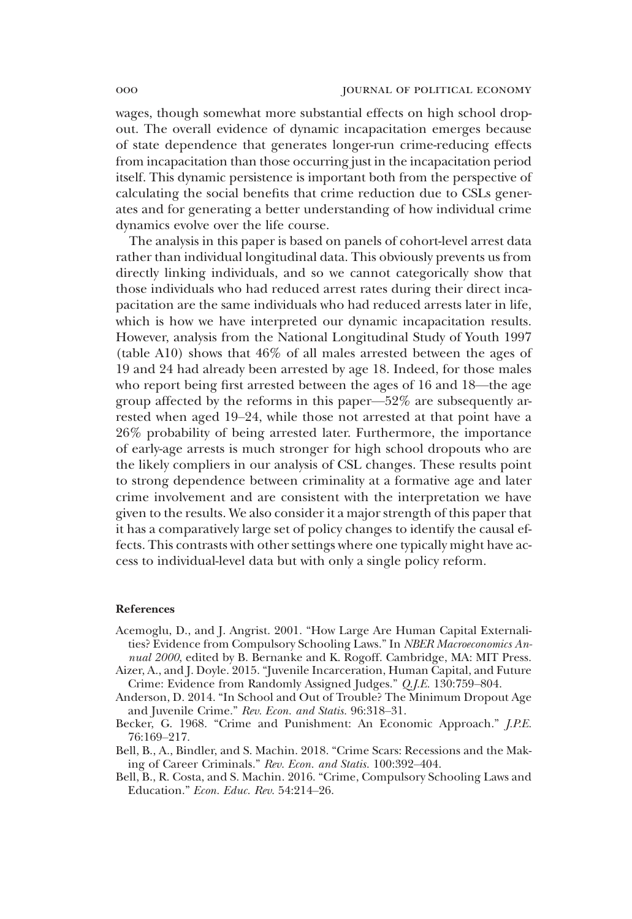wages, though somewhat more substantial effects on high school dropout. The overall evidence of dynamic incapacitation emerges because of state dependence that generates longer-run crime-reducing effects from incapacitation than those occurring just in the incapacitation period itself. This dynamic persistence is important both from the perspective of calculating the social benefits that crime reduction due to CSLs generates and for generating a better understanding of how individual crime dynamics evolve over the life course.

The analysis in this paper is based on panels of cohort-level arrest data rather than individual longitudinal data. This obviously prevents us from directly linking individuals, and so we cannot categorically show that those individuals who had reduced arrest rates during their direct incapacitation are the same individuals who had reduced arrests later in life, which is how we have interpreted our dynamic incapacitation results. However, analysis from the National Longitudinal Study of Youth 1997 (table A10) shows that 46% of all males arrested between the ages of 19 and 24 had already been arrested by age 18. Indeed, for those males who report being first arrested between the ages of 16 and 18—the age group affected by the reforms in this paper—52% are subsequently arrested when aged 19–24, while those not arrested at that point have a 26% probability of being arrested later. Furthermore, the importance of early-age arrests is much stronger for high school dropouts who are the likely compliers in our analysis of CSL changes. These results point to strong dependence between criminality at a formative age and later crime involvement and are consistent with the interpretation we have given to the results. We also consider it a major strength of this paper that it has a comparatively large set of policy changes to identify the causal effects. This contrasts with other settings where one typically might have access to individual-level data but with only a single policy reform.

#### References

- Acemoglu, D., and J. Angrist. 2001. "How Large Are Human Capital Externalities? Evidence from Compulsory Schooling Laws." In *NBER Macroeconomics Annual 2000*, edited by B. Bernanke and K. Rogoff. Cambridge, MA: MIT Press.
- Aizer, A., and J. Doyle. 2015. "Juvenile Incarceration, Human Capital, and Future Crime: Evidence from Randomly Assigned Judges." *Q.J.E.* 130:759–804.
- Anderson, D. 2014. "In School and Out of Trouble? The Minimum Dropout Age and Juvenile Crime." *Rev. Econ. and Statis.* 96:318–31.
- Becker, G. 1968. "Crime and Punishment: An Economic Approach." *J.P.E.* 76:169–217.
- Bell, B., A., Bindler, and S. Machin. 2018. "Crime Scars: Recessions and the Making of Career Criminals." *Rev. Econ. and Statis.* 100:392–404.
- Bell, B., R. Costa, and S. Machin. 2016. "Crime, Compulsory Schooling Laws and Education." *Econ. Educ. Rev.* 54:214–26.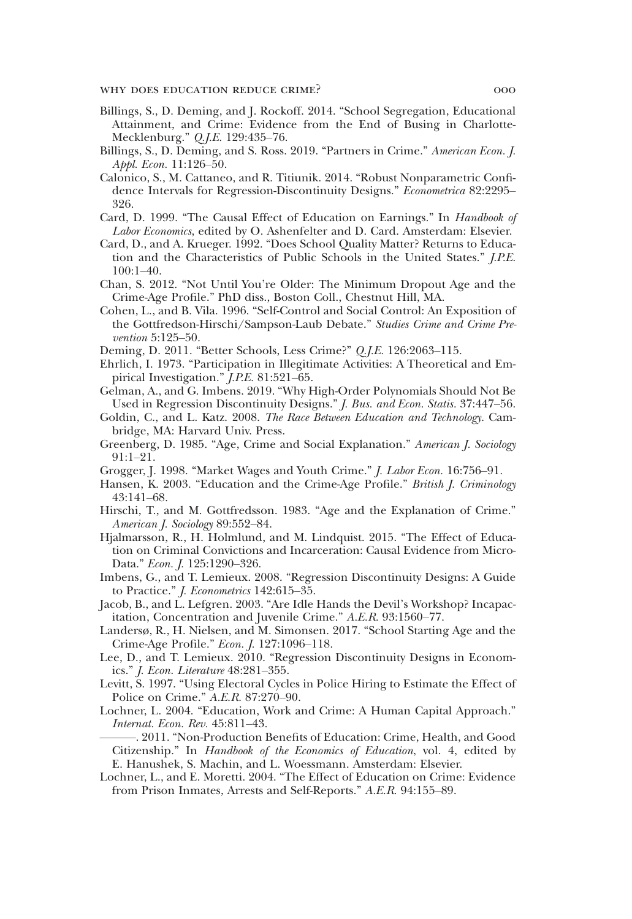- Billings, S., D. Deming, and J. Rockoff. 2014. "School Segregation, Educational Attainment, and Crime: Evidence from the End of Busing in Charlotte-Mecklenburg." *Q.J.E.* 129:435–76.
- Billings, S., D. Deming, and S. Ross. 2019. "Partners in Crime." *American Econ. J. Appl. Econ.* 11:126–50.
- Calonico, S., M. Cattaneo, and R. Titiunik. 2014. "Robust Nonparametric Confidence Intervals for Regression-Discontinuity Designs." *Econometrica* 82:2295– 326.
- Card, D. 1999. "The Causal Effect of Education on Earnings." In *Handbook of Labor Economics*, edited by O. Ashenfelter and D. Card. Amsterdam: Elsevier.
- Card, D., and A. Krueger. 1992. "Does School Quality Matter? Returns to Education and the Characteristics of Public Schools in the United States." *J.P.E.* 100:1–40.
- Chan, S. 2012. "Not Until You're Older: The Minimum Dropout Age and the Crime-Age Profile." PhD diss., Boston Coll., Chestnut Hill, MA.
- Cohen, L., and B. Vila. 1996. "Self-Control and Social Control: An Exposition of the Gottfredson-Hirschi/Sampson-Laub Debate." *Studies Crime and Crime Prevention* 5:125–50.
- Deming, D. 2011. "Better Schools, Less Crime?" *Q.J.E.* 126:2063–115.
- Ehrlich, I. 1973. "Participation in Illegitimate Activities: A Theoretical and Empirical Investigation." *J.P.E.* 81:521–65.
- Gelman, A., and G. Imbens. 2019. "Why High-Order Polynomials Should Not Be Used in Regression Discontinuity Designs." *J. Bus. and Econ. Statis.* 37:447–56.
- Goldin, C., and L. Katz. 2008. *The Race Between Education and Technology*. Cambridge, MA: Harvard Univ. Press.
- Greenberg, D. 1985. "Age, Crime and Social Explanation." *American J. Sociology* 91:1–21.
- Grogger, J. 1998. "Market Wages and Youth Crime." *J. Labor Econ.* 16:756–91.
- Hansen, K. 2003. "Education and the Crime-Age Profile." *British J. Criminology* 43:141–68.
- Hirschi, T., and M. Gottfredsson. 1983. "Age and the Explanation of Crime." *American J. Sociology* 89:552–84.
- Hjalmarsson, R., H. Holmlund, and M. Lindquist. 2015. "The Effect of Education on Criminal Convictions and Incarceration: Causal Evidence from Micro-Data." *Econ. J.* 125:1290–326.
- Imbens, G., and T. Lemieux. 2008. "Regression Discontinuity Designs: A Guide to Practice." *J. Econometrics* 142:615–35.
- Jacob, B., and L. Lefgren. 2003. "Are Idle Hands the Devil's Workshop? Incapacitation, Concentration and Juvenile Crime." *A.E.R.* 93:1560–77.
- Landersø, R., H. Nielsen, and M. Simonsen. 2017. "School Starting Age and the Crime-Age Profile." *Econ. J.* 127:1096–118.
- Lee, D., and T. Lemieux. 2010. "Regression Discontinuity Designs in Economics." *J. Econ. Literature* 48:281–355.
- Levitt, S. 1997. "Using Electoral Cycles in Police Hiring to Estimate the Effect of Police on Crime." *A.E.R.* 87:270–90.
- Lochner, L. 2004. "Education, Work and Crime: A Human Capital Approach." *Internat. Econ. Rev.* 45:811–43.
- ———. 2011. "Non-Production Benefits of Education: Crime, Health, and Good Citizenship." In *Handbook of the Economics of Education*, vol. 4, edited by E. Hanushek, S. Machin, and L. Woessmann. Amsterdam: Elsevier.
- Lochner, L., and E. Moretti. 2004. "The Effect of Education on Crime: Evidence from Prison Inmates, Arrests and Self-Reports." *A.E.R.* 94:155–89.